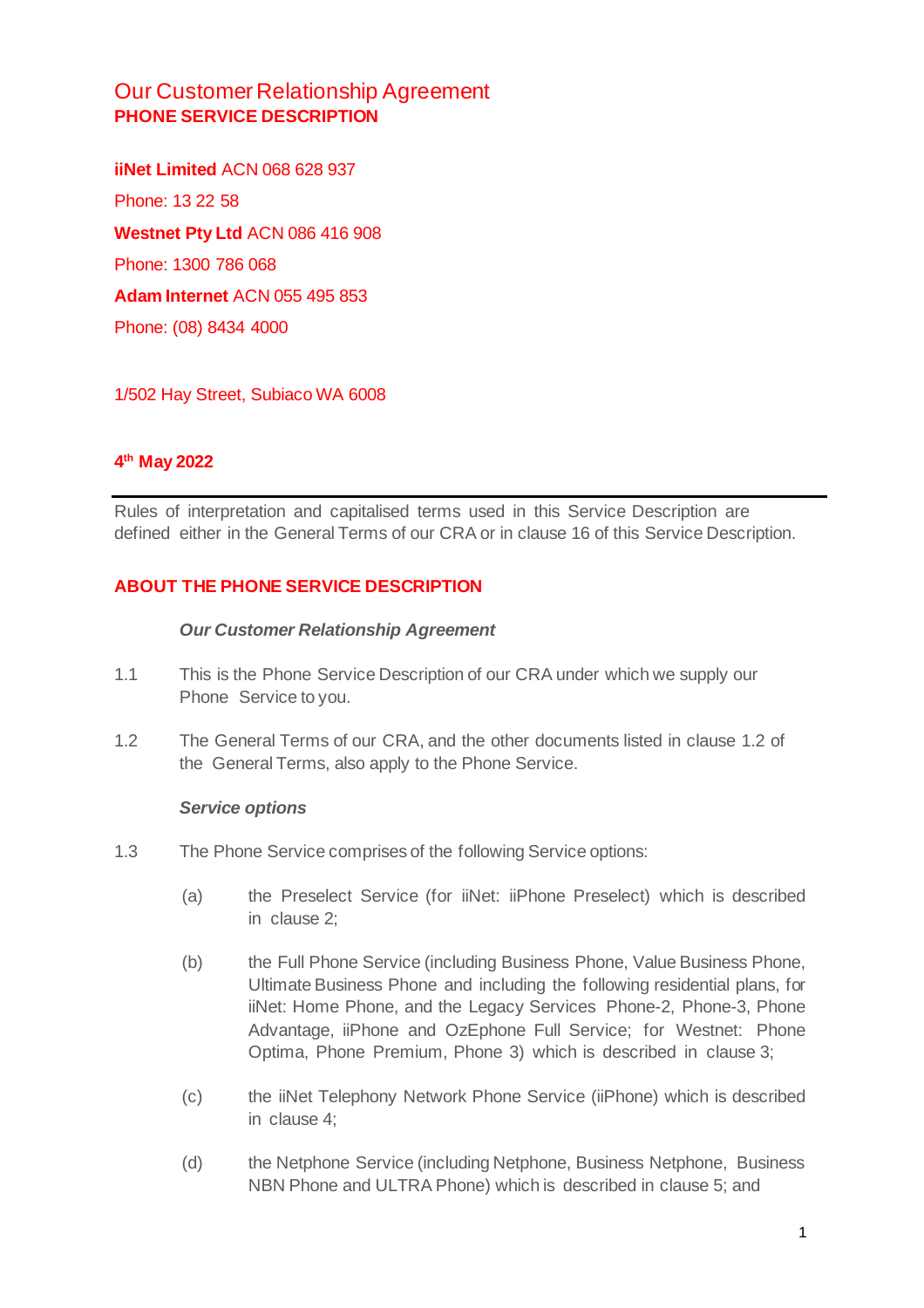# Our Customer Relationship Agreement **PHONE SERVICE DESCRIPTION**

**iiNet Limited** ACN 068 628 937 Phone: 13 22 58 **Westnet Pty Ltd** ACN 086 416 908 Phone: 1300 786 068 **Adam Internet** ACN 055 495 853 Phone: (08) 8434 4000

1/502 Hay Street, Subiaco WA 6008

# **4 th May 2022**

Rules of interpretation and capitalised terms used in this Service Description are defined either in the General Terms of our CRA or in clause 16 of this Service Description.

#### **ABOUT THE PHONE SERVICE DESCRIPTION**

#### *Our Customer Relationship Agreement*

- 1.1 This is the Phone Service Description of our CRA under which we supply our Phone Service to you.
- 1.2 The General Terms of our CRA, and the other documents listed in clause 1.2 of the General Terms, also apply to the Phone Service.

#### *Service options*

- 1.3 The Phone Service comprises of the following Service options:
	- (a) the Preselect Service (for iiNet: iiPhone Preselect) which is described in clause 2;
	- (b) the Full Phone Service (including Business Phone, Value Business Phone, Ultimate Business Phone and including the following residential plans, for iiNet: Home Phone, and the Legacy Services Phone-2, Phone-3, Phone Advantage, iiPhone and OzEphone Full Service; for Westnet: Phone Optima, Phone Premium, Phone 3) which is described in clause 3;
	- (c) the iiNet Telephony Network Phone Service (iiPhone) which is described in clause 4;
	- (d) the Netphone Service (including Netphone, Business Netphone, Business NBN Phone and ULTRA Phone) which is described in clause 5; and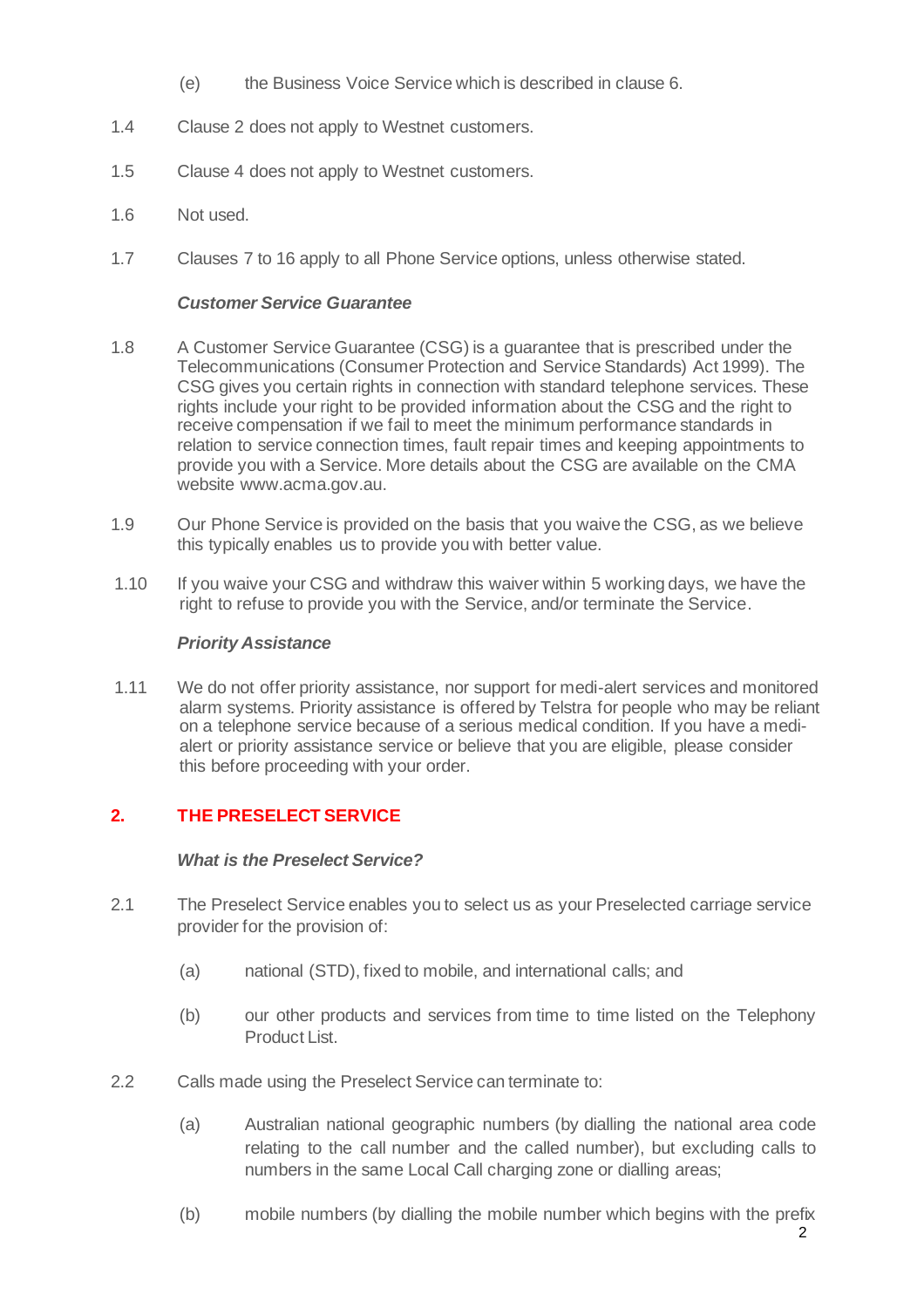- (e) the Business Voice Service which is described in clause 6.
- 1.4 Clause 2 does not apply to Westnet customers.
- 1.5 Clause 4 does not apply to Westnet customers.
- 1.6 Not used.
- 1.7 Clauses 7 to 16 apply to all Phone Service options, unless otherwise stated.

#### *Customer Service Guarantee*

- 1.8 A Customer Service Guarantee (CSG) is a guarantee that is prescribed under the Telecommunications (Consumer Protection and Service Standards) Act 1999). The CSG gives you certain rights in connection with standard telephone services. These rights include your right to be provided information about the CSG and the right to receive compensation if we fail to meet the minimum performance standards in relation to service connection times, fault repair times and keeping appointments to provide you with a Service. More details about the CSG are available on the CMA website [www.acma.gov.au](http://www.acma.gov.au/).
- 1.9 Our Phone Service is provided on the basis that you waive the CSG, as we believe this typically enables us to provide you with better value.
- 1.10 If you waive your CSG and withdraw this waiver within 5 working days, we have the right to refuse to provide you with the Service, and/or terminate the Service.

#### *Priority Assistance*

1.11 We do not offer priority assistance, nor support for medi-alert services and monitored alarm systems. Priority assistance is offered by Telstra for people who may be reliant on a telephone service because of a serious medical condition. If you have a medialert or priority assistance service or believe that you are eligible, please consider this before proceeding with your order.

# **2. THE PRESELECT SERVICE**

#### *What is the Preselect Service?*

- 2.1 The Preselect Service enables you to select us as your Preselected carriage service provider for the provision of:
	- (a) national (STD), fixed to mobile, and international calls; and
	- (b) our other products and services from time to time listed on the Telephony Product List.
- 2.2 Calls made using the Preselect Service can terminate to:
	- (a) Australian national geographic numbers (by dialling the national area code relating to the call number and the called number), but excluding calls to numbers in the same Local Call charging zone or dialling areas;
	- (b) mobile numbers (by dialling the mobile number which begins with the prefix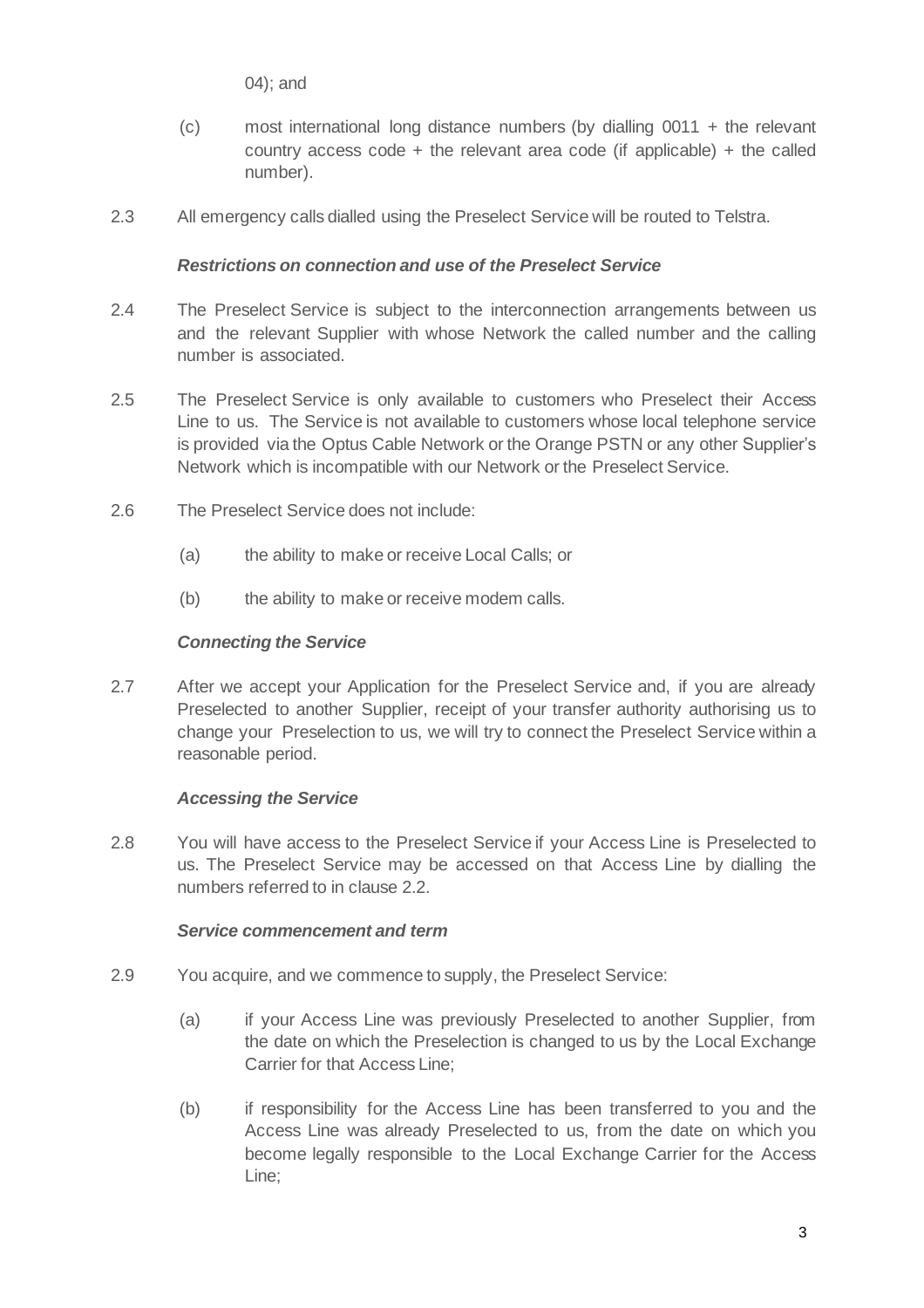04); and

- (c) most international long distance numbers (by dialling 0011 + the relevant country access code  $+$  the relevant area code (if applicable)  $+$  the called number).
- 2.3 All emergency calls dialled using the Preselect Service will be routed to Telstra.

#### *Restrictions on connection and use of the Preselect Service*

- 2.4 The Preselect Service is subject to the interconnection arrangements between us and the relevant Supplier with whose Network the called number and the calling number is associated.
- 2.5 The Preselect Service is only available to customers who Preselect their Access Line to us. The Service is not available to customers whose local telephone service is provided via the Optus Cable Network or the Orange PSTN or any other Supplier's Network which is incompatible with our Network or the Preselect Service.
- 2.6 The Preselect Service does not include:
	- (a) the ability to make or receive Local Calls; or
	- (b) the ability to make or receive modem calls.

# *Connecting the Service*

2.7 After we accept your Application for the Preselect Service and, if you are already Preselected to another Supplier, receipt of your transfer authority authorising us to change your Preselection to us, we will try to connect the Preselect Service within a reasonable period.

# *Accessing the Service*

2.8 You will have access to the Preselect Service if your Access Line is Preselected to us. The Preselect Service may be accessed on that Access Line by dialling the numbers referred to in clause 2.2.

#### *Service commencement and term*

- 2.9 You acquire, and we commence to supply, the Preselect Service:
	- (a) if your Access Line was previously Preselected to another Supplier, from the date on which the Preselection is changed to us by the Local Exchange Carrier for that Access Line;
	- (b) if responsibility for the Access Line has been transferred to you and the Access Line was already Preselected to us, from the date on which you become legally responsible to the Local Exchange Carrier for the Access Line;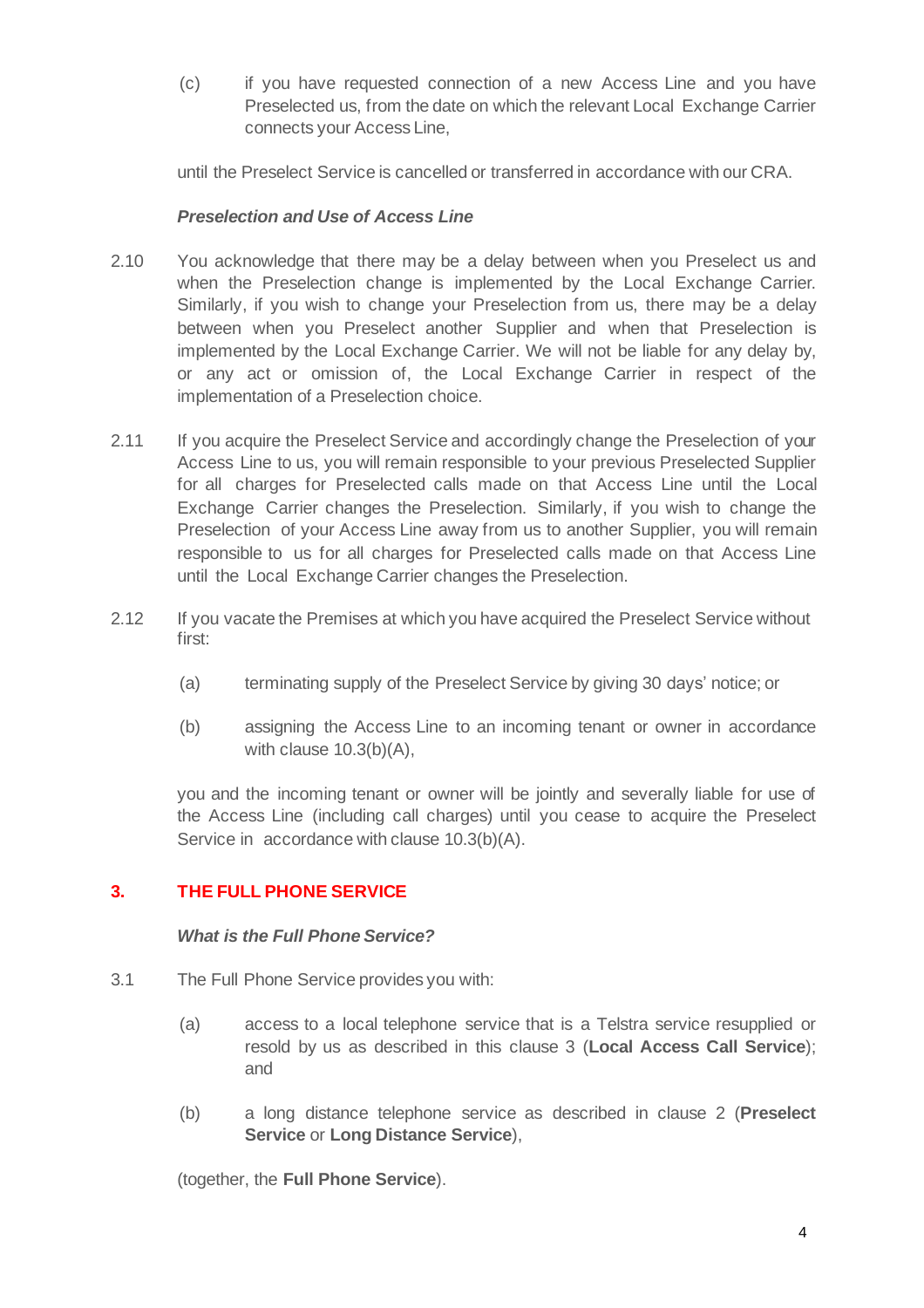(c) if you have requested connection of a new Access Line and you have Preselected us, from the date on which the relevant Local Exchange Carrier connects your Access Line,

until the Preselect Service is cancelled or transferred in accordance with our CRA.

#### *Preselection and Use of Access Line*

- 2.10 You acknowledge that there may be a delay between when you Preselect us and when the Preselection change is implemented by the Local Exchange Carrier. Similarly, if you wish to change your Preselection from us, there may be a delay between when you Preselect another Supplier and when that Preselection is implemented by the Local Exchange Carrier. We will not be liable for any delay by, or any act or omission of, the Local Exchange Carrier in respect of the implementation of a Preselection choice.
- 2.11 If you acquire the Preselect Service and accordingly change the Preselection of your Access Line to us, you will remain responsible to your previous Preselected Supplier for all charges for Preselected calls made on that Access Line until the Local Exchange Carrier changes the Preselection. Similarly, if you wish to change the Preselection of your Access Line away from us to another Supplier, you will remain responsible to us for all charges for Preselected calls made on that Access Line until the Local Exchange Carrier changes the Preselection.
- 2.12 If you vacate the Premises at which you have acquired the Preselect Service without first:
	- (a) terminating supply of the Preselect Service by giving 30 days' notice; or
	- (b) assigning the Access Line to an incoming tenant or owner in accordance with clause 10.3(b)(A),

you and the incoming tenant or owner will be jointly and severally liable for use of the Access Line (including call charges) until you cease to acquire the Preselect Service in accordance with clause 10.3(b)(A).

# **3. THE FULL PHONE SERVICE**

#### *What is the Full Phone Service?*

- 3.1 The Full Phone Service provides you with:
	- (a) access to a local telephone service that is a Telstra service resupplied or resold by us as described in this clause 3 (**Local Access Call Service**); and
	- (b) a long distance telephone service as described in clause 2 (**Preselect Service** or **Long Distance Service**),

(together, the **Full Phone Service**).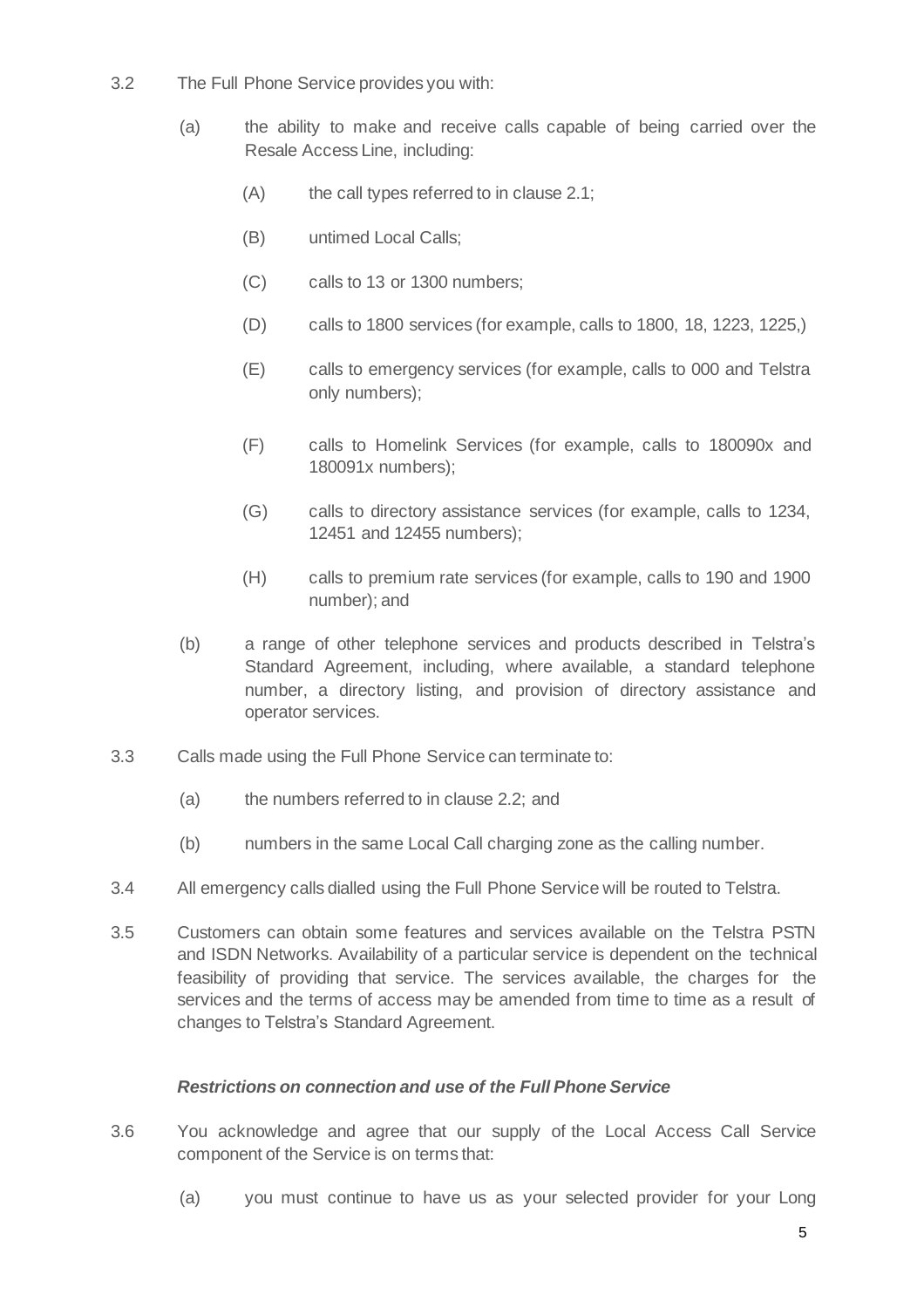- 3.2 The Full Phone Service provides you with:
	- (a) the ability to make and receive calls capable of being carried over the Resale Access Line, including:
		- (A) the call types referred to in clause 2.1;
		- (B) untimed Local Calls;
		- (C) calls to 13 or 1300 numbers;
		- (D) calls to 1800 services (for example, calls to 1800, 18, 1223, 1225,)
		- (E) calls to emergency services (for example, calls to 000 and Telstra only numbers);
		- (F) calls to Homelink Services (for example, calls to 180090x and 180091x numbers);
		- (G) calls to directory assistance services (for example, calls to 1234, 12451 and 12455 numbers);
		- (H) calls to premium rate services (for example, calls to 190 and 1900 number); and
	- (b) a range of other telephone services and products described in Telstra's Standard Agreement, including, where available, a standard telephone number, a directory listing, and provision of directory assistance and operator services.
- 3.3 Calls made using the Full Phone Service can terminate to:
	- (a) the numbers referred to in clause 2.2; and
	- (b) numbers in the same Local Call charging zone as the calling number.
- 3.4 All emergency calls dialled using the Full Phone Service will be routed to Telstra.
- 3.5 Customers can obtain some features and services available on the Telstra PSTN and ISDN Networks. Availability of a particular service is dependent on the technical feasibility of providing that service. The services available, the charges for the services and the terms of access may be amended from time to time as a result of changes to Telstra's Standard Agreement.

#### *Restrictions on connection and use of the Full Phone Service*

- 3.6 You acknowledge and agree that our supply of the Local Access Call Service component of the Service is on terms that:
	- (a) you must continue to have us as your selected provider for your Long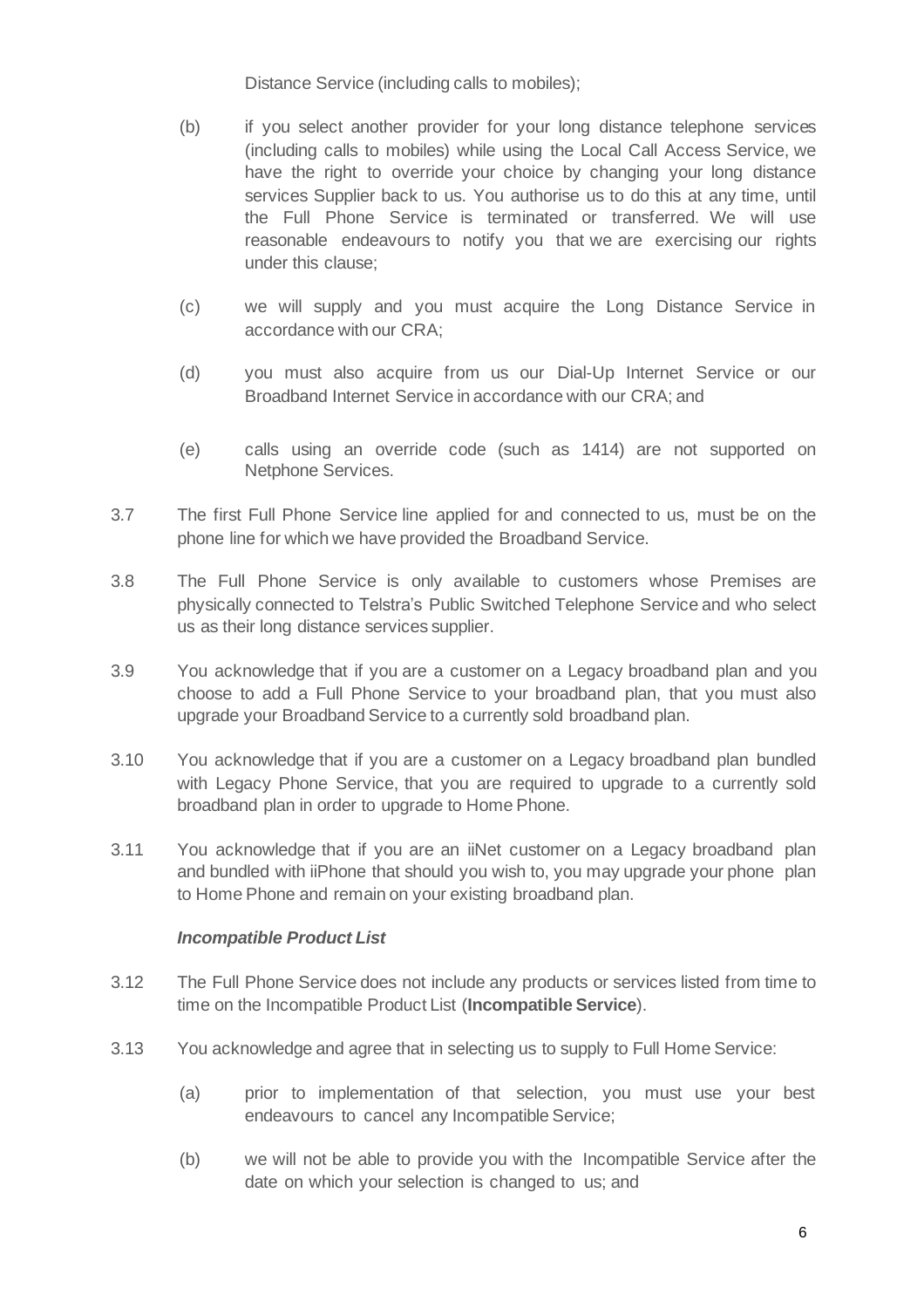Distance Service (including calls to mobiles);

- (b) if you select another provider for your long distance telephone services (including calls to mobiles) while using the Local Call Access Service, we have the right to override your choice by changing your long distance services Supplier back to us. You authorise us to do this at any time, until the Full Phone Service is terminated or transferred. We will use reasonable endeavours to notify you that we are exercising our rights under this clause;
- (c) we will supply and you must acquire the Long Distance Service in accordance with our CRA;
- (d) you must also acquire from us our Dial-Up Internet Service or our Broadband Internet Service in accordance with our CRA; and
- (e) calls using an override code (such as 1414) are not supported on Netphone Services.
- 3.7 The first Full Phone Service line applied for and connected to us, must be on the phone line for which we have provided the Broadband Service.
- 3.8 The Full Phone Service is only available to customers whose Premises are physically connected to Telstra's Public Switched Telephone Service and who select us as their long distance services supplier.
- 3.9 You acknowledge that if you are a customer on a Legacy broadband plan and you choose to add a Full Phone Service to your broadband plan, that you must also upgrade your Broadband Service to a currently sold broadband plan.
- 3.10 You acknowledge that if you are a customer on a Legacy broadband plan bundled with Legacy Phone Service, that you are required to upgrade to a currently sold broadband plan in order to upgrade to Home Phone.
- 3.11 You acknowledge that if you are an iiNet customer on a Legacy broadband plan and bundled with iiPhone that should you wish to, you may upgrade your phone plan to Home Phone and remain on your existing broadband plan.

# *Incompatible Product List*

- 3.12 The Full Phone Service does not include any products or services listed from time to time on the Incompatible Product List (**Incompatible Service**).
- 3.13 You acknowledge and agree that in selecting us to supply to Full Home Service:
	- (a) prior to implementation of that selection, you must use your best endeavours to cancel any Incompatible Service;
	- (b) we will not be able to provide you with the Incompatible Service after the date on which your selection is changed to us; and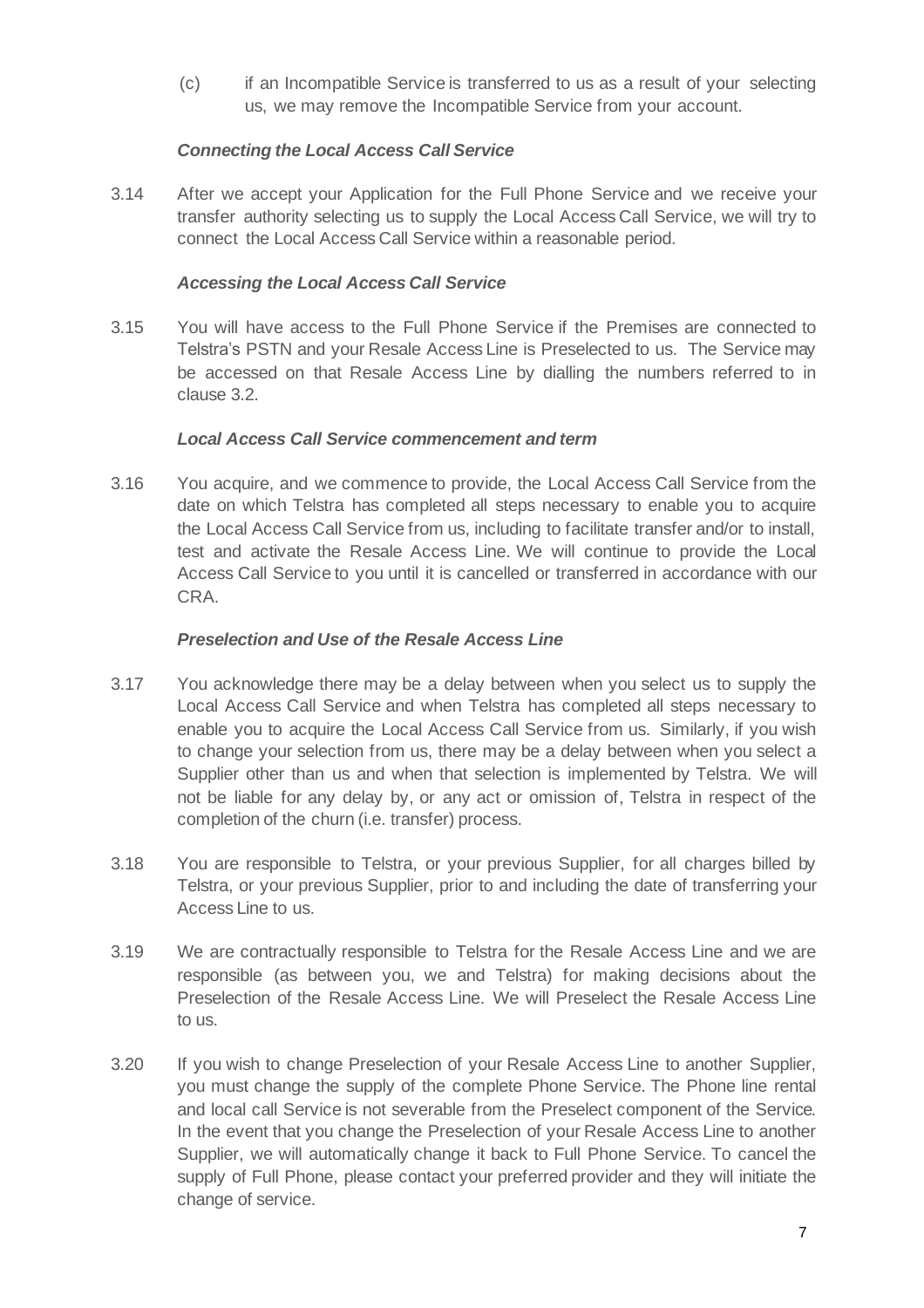(c) if an Incompatible Service is transferred to us as a result of your selecting us, we may remove the Incompatible Service from your account.

# *Connecting the Local Access Call Service*

3.14 After we accept your Application for the Full Phone Service and we receive your transfer authority selecting us to supply the Local Access Call Service, we will try to connect the Local Access Call Service within a reasonable period.

#### *Accessing the Local Access Call Service*

3.15 You will have access to the Full Phone Service if the Premises are connected to Telstra's PSTN and your Resale Access Line is Preselected to us. The Service may be accessed on that Resale Access Line by dialling the numbers referred to in clause 3.2.

#### *Local Access Call Service commencement and term*

3.16 You acquire, and we commence to provide, the Local Access Call Service from the date on which Telstra has completed all steps necessary to enable you to acquire the Local Access Call Service from us, including to facilitate transfer and/or to install, test and activate the Resale Access Line. We will continue to provide the Local Access Call Service to you until it is cancelled or transferred in accordance with our CRA.

# *Preselection and Use of the Resale Access Line*

- 3.17 You acknowledge there may be a delay between when you select us to supply the Local Access Call Service and when Telstra has completed all steps necessary to enable you to acquire the Local Access Call Service from us. Similarly, if you wish to change your selection from us, there may be a delay between when you select a Supplier other than us and when that selection is implemented by Telstra. We will not be liable for any delay by, or any act or omission of, Telstra in respect of the completion of the churn (i.e. transfer) process.
- 3.18 You are responsible to Telstra, or your previous Supplier, for all charges billed by Telstra, or your previous Supplier, prior to and including the date of transferring your Access Line to us.
- 3.19 We are contractually responsible to Telstra for the Resale Access Line and we are responsible (as between you, we and Telstra) for making decisions about the Preselection of the Resale Access Line. We will Preselect the Resale Access Line to us.
- 3.20 If you wish to change Preselection of your Resale Access Line to another Supplier, you must change the supply of the complete Phone Service. The Phone line rental and local call Service is not severable from the Preselect component of the Service. In the event that you change the Preselection of your Resale Access Line to another Supplier, we will automatically change it back to Full Phone Service. To cancel the supply of Full Phone, please contact your preferred provider and they will initiate the change of service.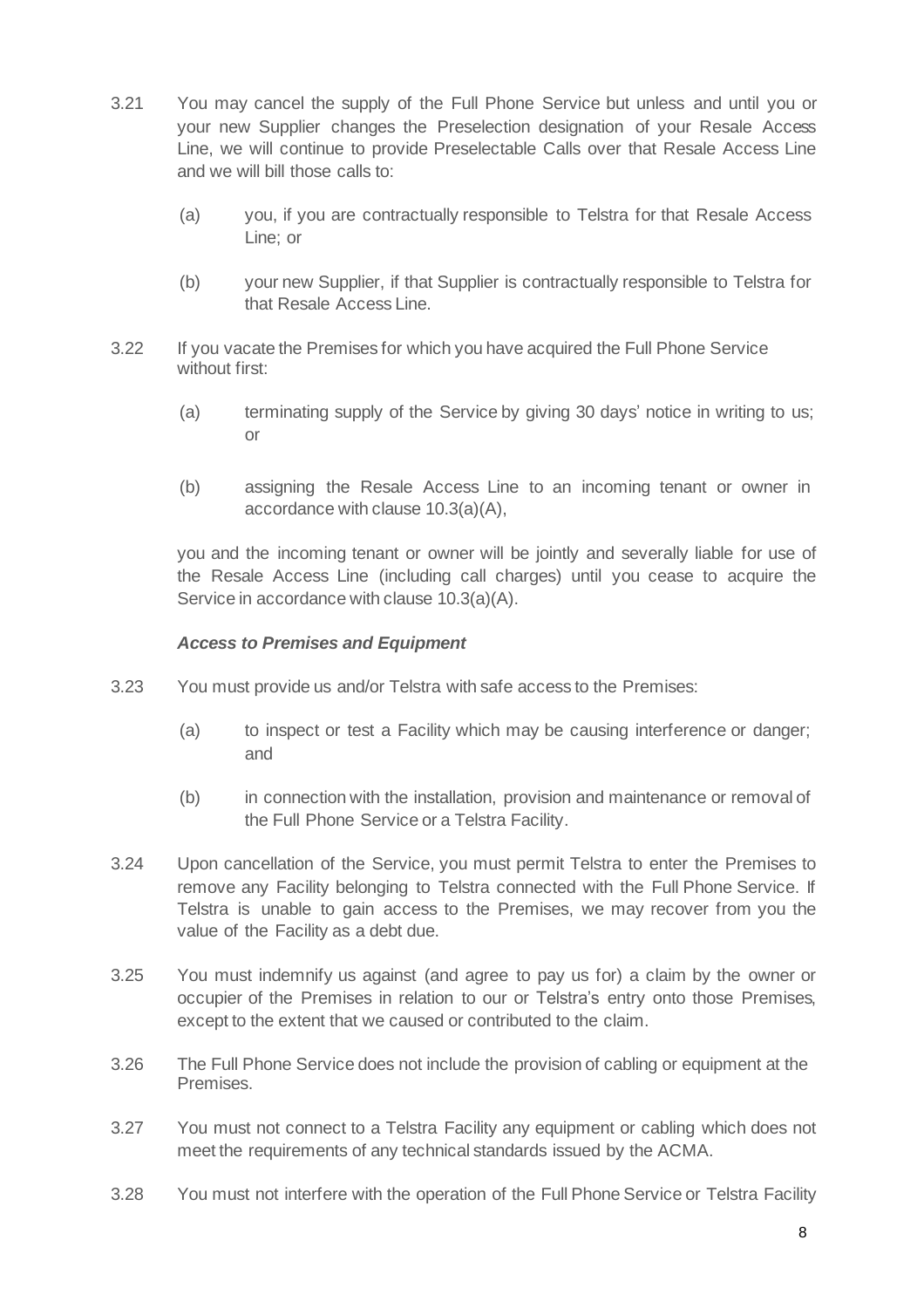- 3.21 You may cancel the supply of the Full Phone Service but unless and until you or your new Supplier changes the Preselection designation of your Resale Access Line, we will continue to provide Preselectable Calls over that Resale Access Line and we will bill those calls to:
	- (a) you, if you are contractually responsible to Telstra for that Resale Access Line; or
	- (b) your new Supplier, if that Supplier is contractually responsible to Telstra for that Resale Access Line.
- 3.22 If you vacate the Premises for which you have acquired the Full Phone Service without first:
	- (a) terminating supply of the Service by giving 30 days' notice in writing to us; or
	- (b) assigning the Resale Access Line to an incoming tenant or owner in accordance with clause 10.3(a)(A),

you and the incoming tenant or owner will be jointly and severally liable for use of the Resale Access Line (including call charges) until you cease to acquire the Service in accordance with clause 10.3(a)(A).

#### *Access to Premises and Equipment*

- 3.23 You must provide us and/or Telstra with safe access to the Premises:
	- (a) to inspect or test a Facility which may be causing interference or danger; and
	- (b) in connection with the installation, provision and maintenance or removal of the Full Phone Service or a Telstra Facility.
- 3.24 Upon cancellation of the Service, you must permit Telstra to enter the Premises to remove any Facility belonging to Telstra connected with the Full Phone Service. If Telstra is unable to gain access to the Premises, we may recover from you the value of the Facility as a debt due.
- 3.25 You must indemnify us against (and agree to pay us for) a claim by the owner or occupier of the Premises in relation to our or Telstra's entry onto those Premises, except to the extent that we caused or contributed to the claim.
- 3.26 The Full Phone Service does not include the provision of cabling or equipment at the Premises.
- 3.27 You must not connect to a Telstra Facility any equipment or cabling which does not meet the requirements of any technical standards issued by the ACMA.
- 3.28 You must not interfere with the operation of the Full Phone Service or Telstra Facility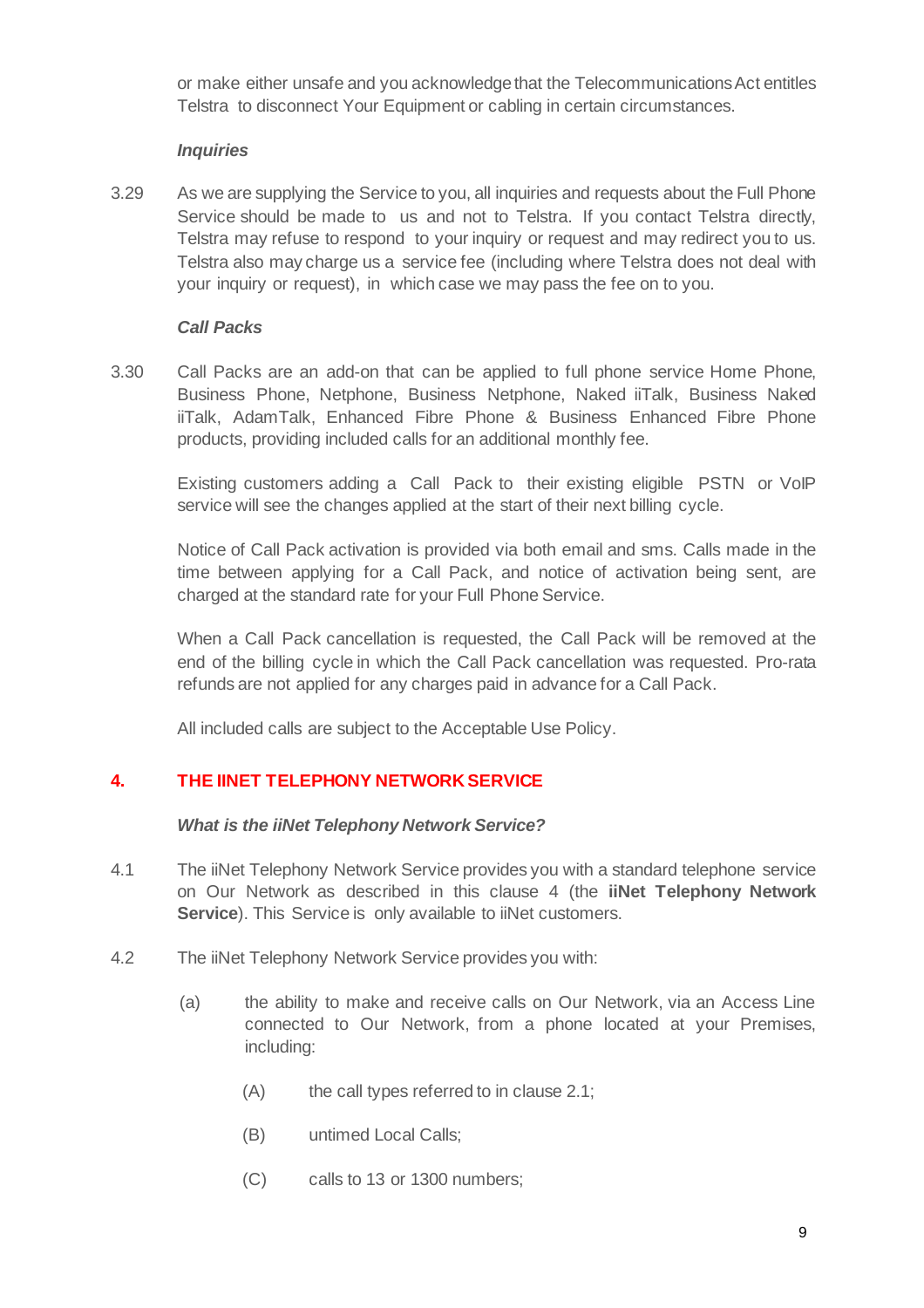or make either unsafe and you acknowledgethat the TelecommunicationsAct entitles Telstra to disconnect Your Equipment or cabling in certain circumstances.

#### *Inquiries*

3.29 As we are supplying the Service to you, all inquiries and requests about the Full Phone Service should be made to us and not to Telstra. If you contact Telstra directly, Telstra may refuse to respond to your inquiry or request and may redirect you to us. Telstra also may charge us a service fee (including where Telstra does not deal with your inquiry or request), in which case we may pass the fee on to you.

#### *Call Packs*

3.30 Call Packs are an add-on that can be applied to full phone service Home Phone, Business Phone, Netphone, Business Netphone, Naked iiTalk, Business Naked iiTalk, AdamTalk, Enhanced Fibre Phone & Business Enhanced Fibre Phone products, providing included calls for an additional monthly fee.

Existing customers adding a Call Pack to their existing eligible PSTN or VoIP service will see the changes applied at the start of their next billing cycle.

Notice of Call Pack activation is provided via both email and sms. Calls made in the time between applying for a Call Pack, and notice of activation being sent, are charged at the standard rate for your Full Phone Service.

When a Call Pack cancellation is requested, the Call Pack will be removed at the end of the billing cycle in which the Call Pack cancellation was requested. Pro-rata refunds are not applied for any charges paid in advance for a Call Pack.

All included calls are subject to the Acceptable Use Policy.

# **4. THE IINET TELEPHONY NETWORK SERVICE**

#### *What is the iiNet Telephony Network Service?*

- 4.1 The iiNet Telephony Network Service provides you with a standard telephone service on Our Network as described in this clause 4 (the **iiNet Telephony Network Service**). This Service is only available to iiNet customers.
- 4.2 The iiNet Telephony Network Service provides you with:
	- (a) the ability to make and receive calls on Our Network, via an Access Line connected to Our Network, from a phone located at your Premises, including:
		- (A) the call types referred to in clause 2.1;
		- (B) untimed Local Calls;
		- (C) calls to 13 or 1300 numbers;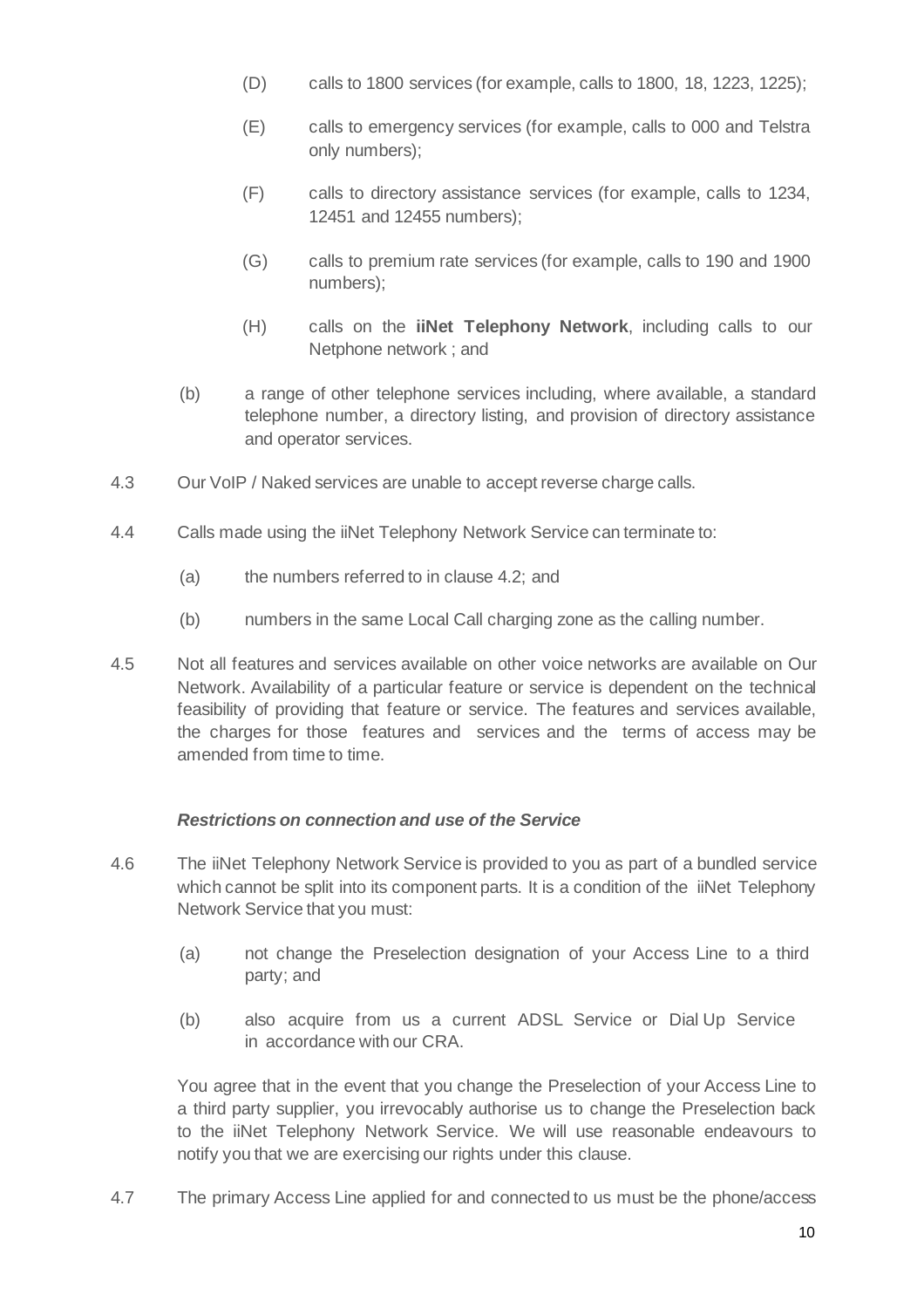- (D) calls to 1800 services (for example, calls to 1800, 18, 1223, 1225);
- (E) calls to emergency services (for example, calls to 000 and Telstra only numbers);
- (F) calls to directory assistance services (for example, calls to 1234, 12451 and 12455 numbers);
- (G) calls to premium rate services (for example, calls to 190 and 1900 numbers);
- (H) calls on the **iiNet Telephony Network**, including calls to our Netphone network ; and
- (b) a range of other telephone services including, where available, a standard telephone number, a directory listing, and provision of directory assistance and operator services.
- 4.3 Our VoIP / Naked services are unable to accept reverse charge calls.
- 4.4 Calls made using the iiNet Telephony Network Service can terminate to:
	- (a) the numbers referred to in clause 4.2; and
	- (b) numbers in the same Local Call charging zone as the calling number.
- 4.5 Not all features and services available on other voice networks are available on Our Network. Availability of a particular feature or service is dependent on the technical feasibility of providing that feature or service. The features and services available, the charges for those features and services and the terms of access may be amended from time to time.

# *Restrictions on connection and use of the Service*

- 4.6 The iiNet Telephony Network Service is provided to you as part of a bundled service which cannot be split into its component parts. It is a condition of the iiNet Telephony Network Service that you must:
	- (a) not change the Preselection designation of your Access Line to a third party; and
	- (b) also acquire from us a current ADSL Service or Dial Up Service in accordance with our CRA.

You agree that in the event that you change the Preselection of your Access Line to a third party supplier, you irrevocably authorise us to change the Preselection back to the iiNet Telephony Network Service. We will use reasonable endeavours to notify you that we are exercising our rights under this clause.

4.7 The primary Access Line applied for and connected to us must be the phone/access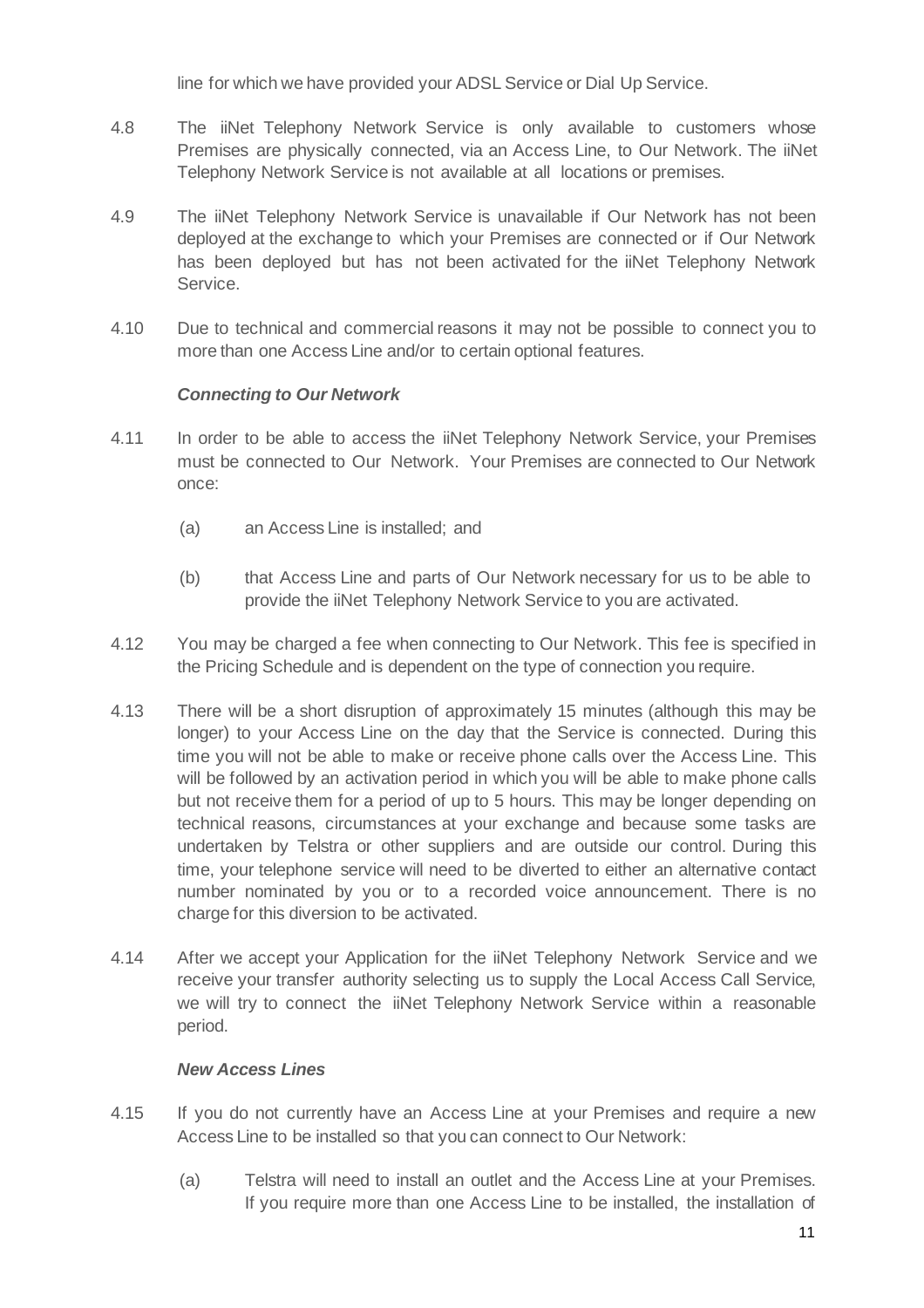line for which we have provided your ADSL Service or Dial Up Service.

- 4.8 The iiNet Telephony Network Service is only available to customers whose Premises are physically connected, via an Access Line, to Our Network. The iiNet Telephony Network Service is not available at all locations or premises.
- 4.9 The iiNet Telephony Network Service is unavailable if Our Network has not been deployed at the exchange to which your Premises are connected or if Our Network has been deployed but has not been activated for the iiNet Telephony Network Service.
- 4.10 Due to technical and commercial reasons it may not be possible to connect you to more than one Access Line and/or to certain optional features.

# *Connecting to Our Network*

- 4.11 In order to be able to access the iiNet Telephony Network Service, your Premises must be connected to Our Network. Your Premises are connected to Our Network once:
	- (a) an Access Line is installed; and
	- (b) that Access Line and parts of Our Network necessary for us to be able to provide the iiNet Telephony Network Service to you are activated.
- 4.12 You may be charged a fee when connecting to Our Network. This fee is specified in the Pricing Schedule and is dependent on the type of connection you require.
- 4.13 There will be a short disruption of approximately 15 minutes (although this may be longer) to your Access Line on the day that the Service is connected. During this time you will not be able to make or receive phone calls over the Access Line. This will be followed by an activation period in which you will be able to make phone calls but not receive them for a period of up to 5 hours. This may be longer depending on technical reasons, circumstances at your exchange and because some tasks are undertaken by Telstra or other suppliers and are outside our control. During this time, your telephone service will need to be diverted to either an alternative contact number nominated by you or to a recorded voice announcement. There is no charge for this diversion to be activated.
- 4.14 After we accept your Application for the iiNet Telephony Network Service and we receive your transfer authority selecting us to supply the Local Access Call Service, we will try to connect the iiNet Telephony Network Service within a reasonable period.

# *New Access Lines*

- 4.15 If you do not currently have an Access Line at your Premises and require a new Access Line to be installed so that you can connect to Our Network:
	- (a) Telstra will need to install an outlet and the Access Line at your Premises. If you require more than one Access Line to be installed, the installation of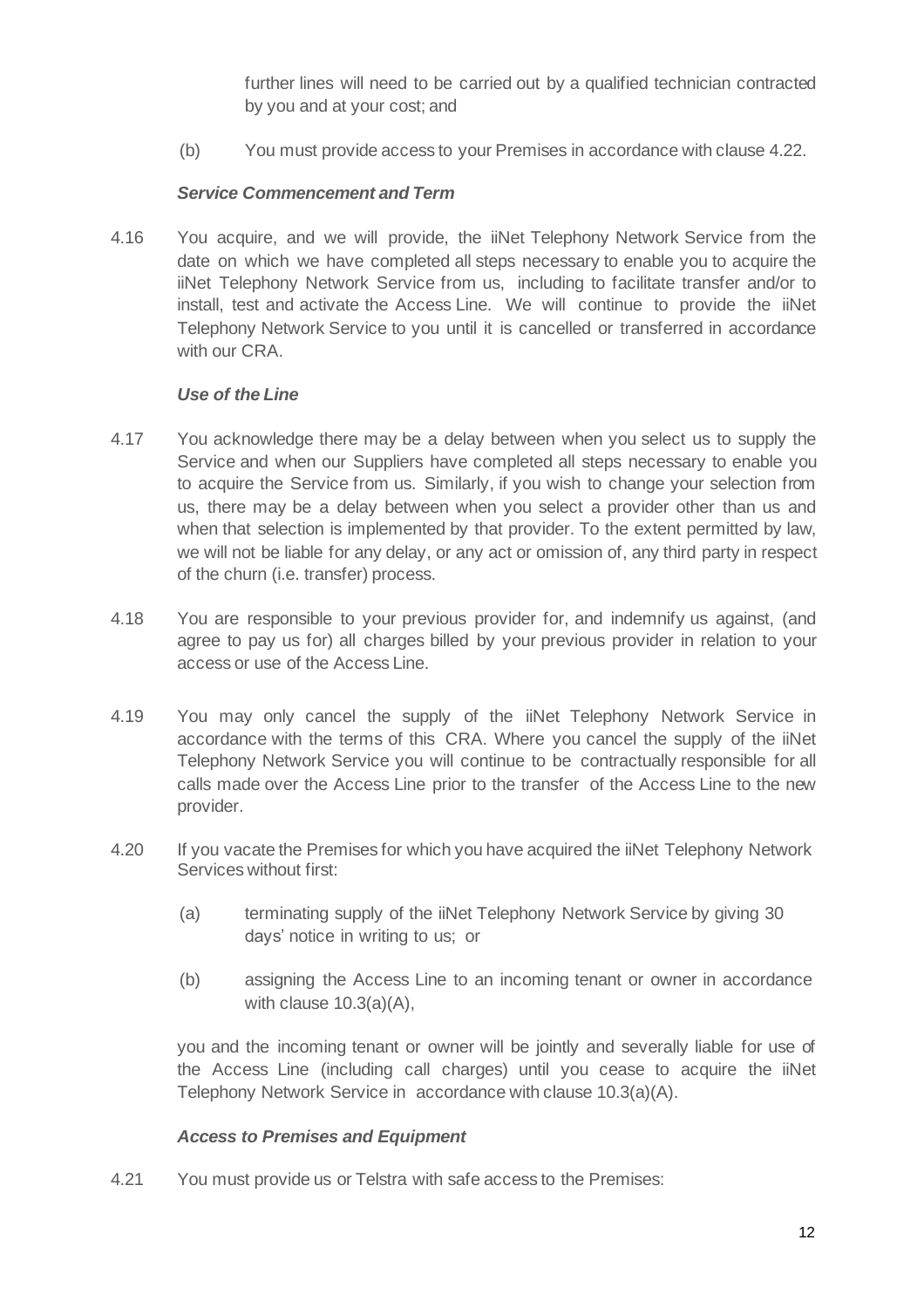further lines will need to be carried out by a qualified technician contracted by you and at your cost; and

(b) You must provide access to your Premises in accordance with clause 4.22.

#### *Service Commencement and Term*

4.16 You acquire, and we will provide, the iiNet Telephony Network Service from the date on which we have completed all steps necessary to enable you to acquire the iiNet Telephony Network Service from us, including to facilitate transfer and/or to install, test and activate the Access Line. We will continue to provide the iiNet Telephony Network Service to you until it is cancelled or transferred in accordance with our CRA.

#### *Use of the Line*

- 4.17 You acknowledge there may be a delay between when you select us to supply the Service and when our Suppliers have completed all steps necessary to enable you to acquire the Service from us. Similarly, if you wish to change your selection from us, there may be a delay between when you select a provider other than us and when that selection is implemented by that provider. To the extent permitted by law, we will not be liable for any delay, or any act or omission of, any third party in respect of the churn (i.e. transfer) process.
- 4.18 You are responsible to your previous provider for, and indemnify us against, (and agree to pay us for) all charges billed by your previous provider in relation to your access or use of the Access Line.
- 4.19 You may only cancel the supply of the iiNet Telephony Network Service in accordance with the terms of this CRA. Where you cancel the supply of the iiNet Telephony Network Service you will continue to be contractually responsible for all calls made over the Access Line prior to the transfer of the Access Line to the new provider.
- 4.20 If you vacate the Premises for which you have acquired the iiNet Telephony Network Services without first:
	- (a) terminating supply of the iiNet Telephony Network Service by giving 30 days' notice in writing to us; or
	- (b) assigning the Access Line to an incoming tenant or owner in accordance with clause 10.3(a)(A),

you and the incoming tenant or owner will be jointly and severally liable for use of the Access Line (including call charges) until you cease to acquire the iiNet Telephony Network Service in accordance with clause 10.3(a)(A).

# *Access to Premises and Equipment*

4.21 You must provide us or Telstra with safe access to the Premises: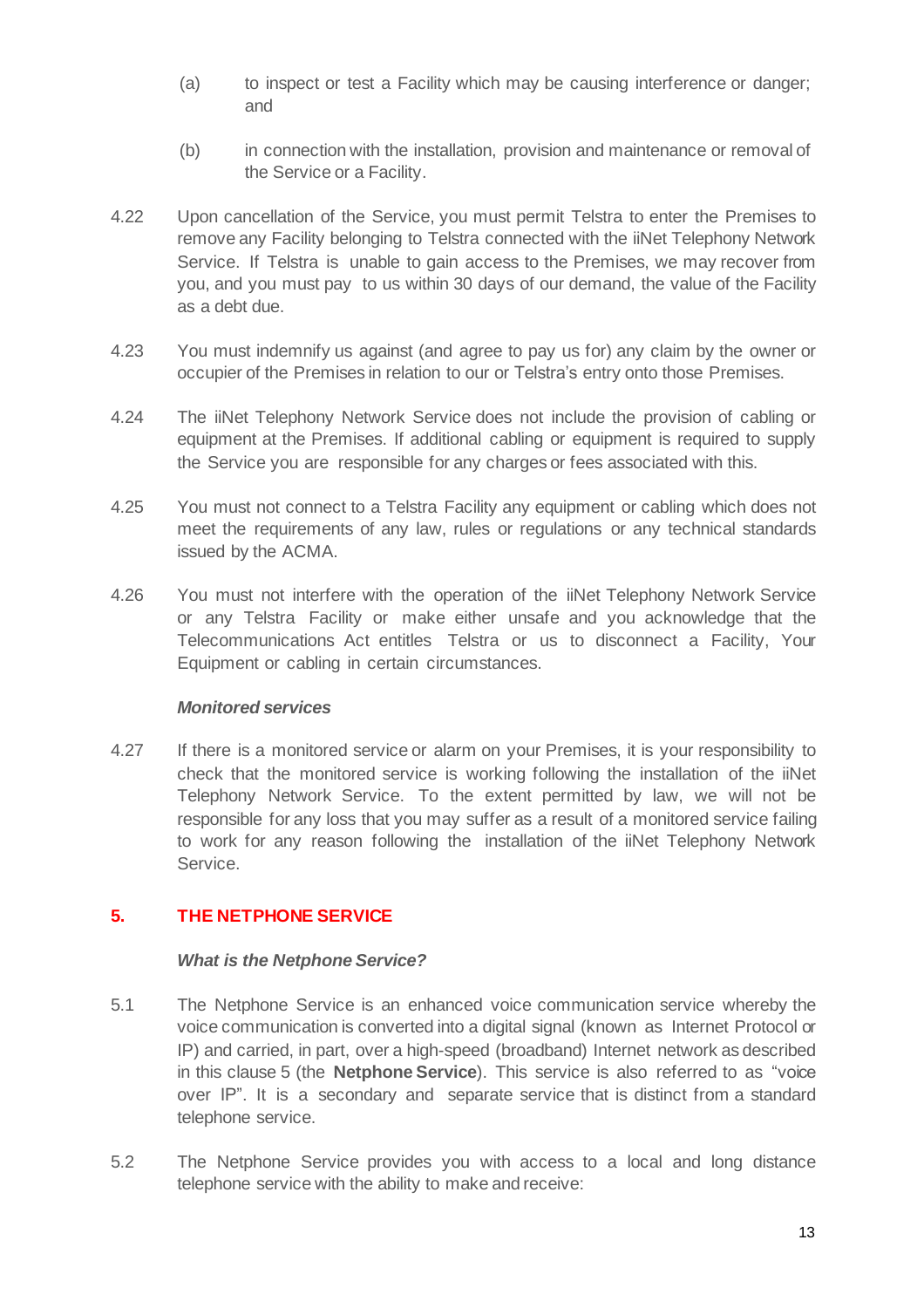- (a) to inspect or test a Facility which may be causing interference or danger; and
- (b) in connection with the installation, provision and maintenance or removal of the Service or a Facility.
- 4.22 Upon cancellation of the Service, you must permit Telstra to enter the Premises to remove any Facility belonging to Telstra connected with the iiNet Telephony Network Service. If Telstra is unable to gain access to the Premises, we may recover from you, and you must pay to us within 30 days of our demand, the value of the Facility as a debt due.
- 4.23 You must indemnify us against (and agree to pay us for) any claim by the owner or occupier of the Premises in relation to our or Telstra's entry onto those Premises.
- 4.24 The iiNet Telephony Network Service does not include the provision of cabling or equipment at the Premises. If additional cabling or equipment is required to supply the Service you are responsible for any charges or fees associated with this.
- 4.25 You must not connect to a Telstra Facility any equipment or cabling which does not meet the requirements of any law, rules or regulations or any technical standards issued by the ACMA.
- 4.26 You must not interfere with the operation of the iiNet Telephony Network Service or any Telstra Facility or make either unsafe and you acknowledge that the Telecommunications Act entitles Telstra or us to disconnect a Facility, Your Equipment or cabling in certain circumstances.

#### *Monitored services*

4.27 If there is a monitored service or alarm on your Premises, it is your responsibility to check that the monitored service is working following the installation of the iiNet Telephony Network Service. To the extent permitted by law, we will not be responsible for any loss that you may suffer as a result of a monitored service failing to work for any reason following the installation of the iiNet Telephony Network Service.

# **5. THE NETPHONE SERVICE**

#### *What is the Netphone Service?*

- 5.1 The Netphone Service is an enhanced voice communication service whereby the voice communication is converted into a digital signal (known as Internet Protocol or IP) and carried, in part, over a high-speed (broadband) Internet network as described in this clause 5 (the **Netphone Service**). This service is also referred to as "voice over IP". It is a secondary and separate service that is distinct from a standard telephone service.
- 5.2 The Netphone Service provides you with access to a local and long distance telephone service with the ability to make and receive: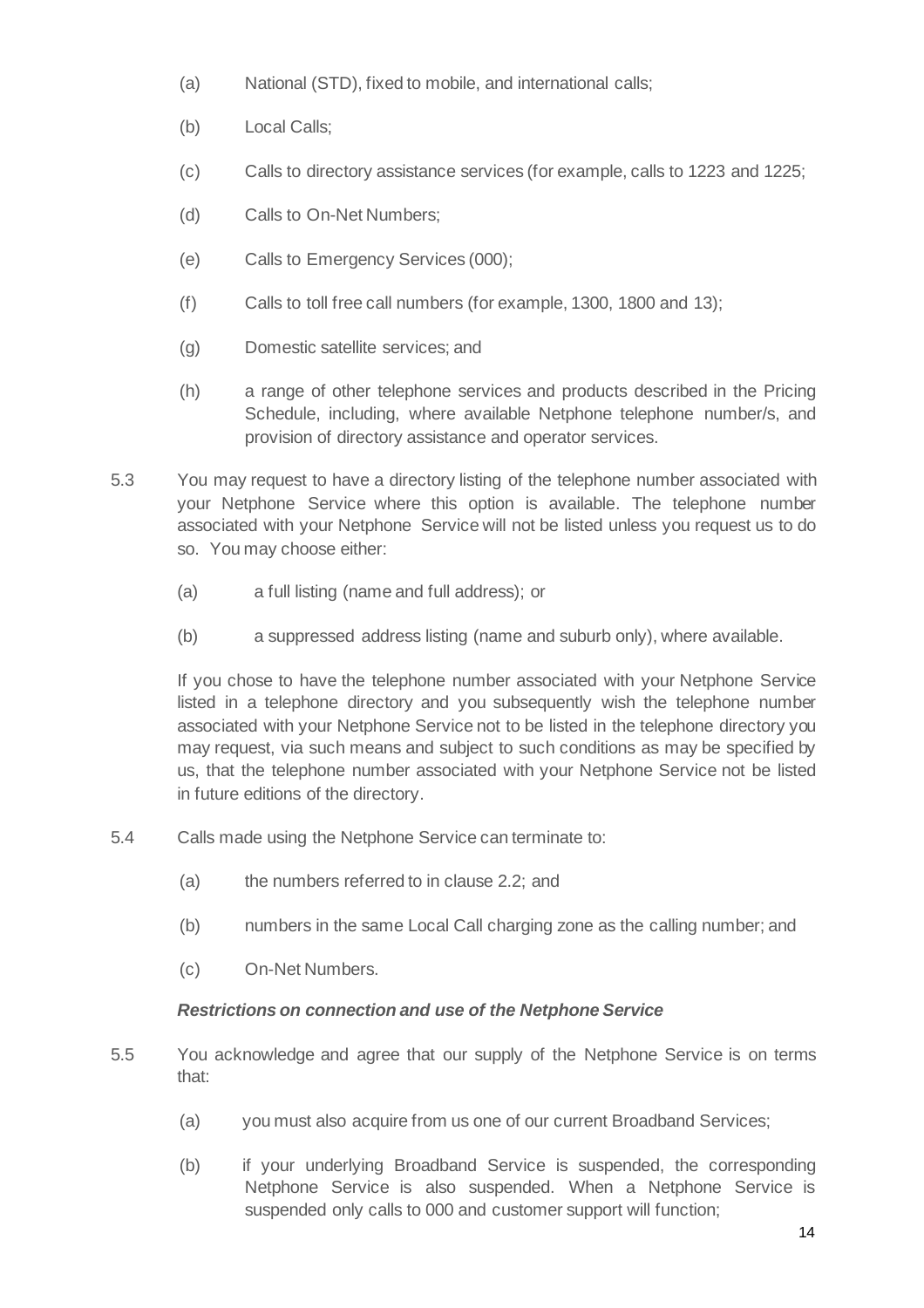- (a) National (STD), fixed to mobile, and international calls;
- (b) Local Calls;
- (c) Calls to directory assistance services (for example, calls to 1223 and 1225;
- (d) Calls to On-Net Numbers;
- (e) Calls to Emergency Services (000);
- (f) Calls to toll free call numbers (for example, 1300, 1800 and 13);
- (g) Domestic satellite services; and
- (h) a range of other telephone services and products described in the Pricing Schedule, including, where available Netphone telephone number/s, and provision of directory assistance and operator services.
- 5.3 You may request to have a directory listing of the telephone number associated with your Netphone Service where this option is available. The telephone number associated with your Netphone Service will not be listed unless you request us to do so. You may choose either:
	- (a) a full listing (name and full address); or
	- (b) a suppressed address listing (name and suburb only), where available.

If you chose to have the telephone number associated with your Netphone Service listed in a telephone directory and you subsequently wish the telephone number associated with your Netphone Service not to be listed in the telephone directory you may request, via such means and subject to such conditions as may be specified by us, that the telephone number associated with your Netphone Service not be listed in future editions of the directory.

- 5.4 Calls made using the Netphone Service can terminate to:
	- (a) the numbers referred to in clause 2.2; and
	- (b) numbers in the same Local Call charging zone as the calling number; and
	- (c) On-Net Numbers.

# *Restrictions on connection and use of the Netphone Service*

- 5.5 You acknowledge and agree that our supply of the Netphone Service is on terms that:
	- (a) you must also acquire from us one of our current Broadband Services;
	- (b) if your underlying Broadband Service is suspended, the corresponding Netphone Service is also suspended. When a Netphone Service is suspended only calls to 000 and customer support will function;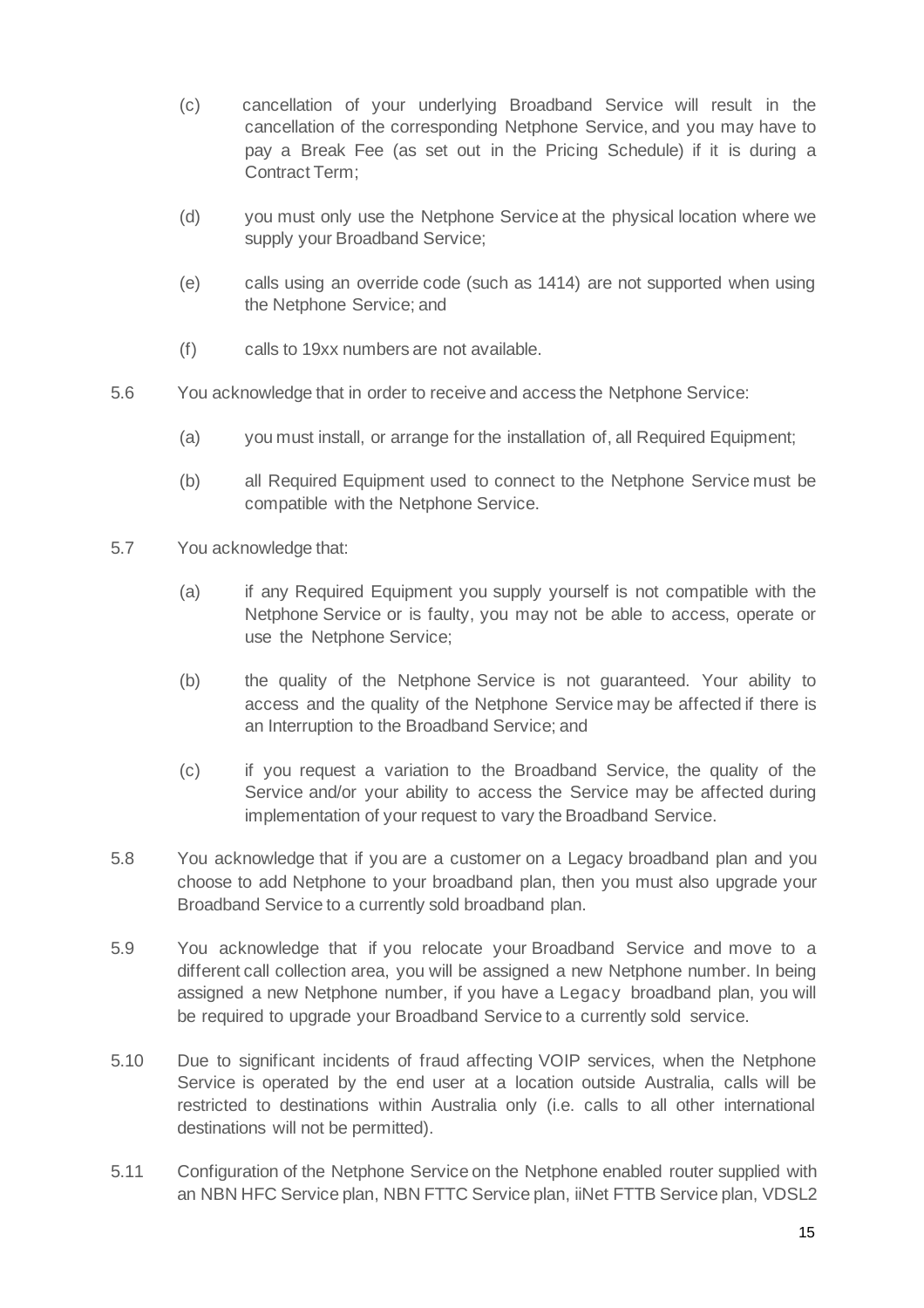- (c) cancellation of your underlying Broadband Service will result in the cancellation of the corresponding Netphone Service, and you may have to pay a Break Fee (as set out in the Pricing Schedule) if it is during a Contract Term;
- (d) you must only use the Netphone Service at the physical location where we supply your Broadband Service;
- (e) calls using an override code (such as 1414) are not supported when using the Netphone Service; and
- (f) calls to 19xx numbers are not available.
- 5.6 You acknowledge that in order to receive and access the Netphone Service:
	- (a) you must install, or arrange for the installation of, all Required Equipment;
	- (b) all Required Equipment used to connect to the Netphone Service must be compatible with the Netphone Service.
- 5.7 You acknowledge that:
	- (a) if any Required Equipment you supply yourself is not compatible with the Netphone Service or is faulty, you may not be able to access, operate or use the Netphone Service;
	- (b) the quality of the Netphone Service is not guaranteed. Your ability to access and the quality of the Netphone Service may be affected if there is an Interruption to the Broadband Service; and
	- (c) if you request a variation to the Broadband Service, the quality of the Service and/or your ability to access the Service may be affected during implementation of your request to vary the Broadband Service.
- 5.8 You acknowledge that if you are a customer on a Legacy broadband plan and you choose to add Netphone to your broadband plan, then you must also upgrade your Broadband Service to a currently sold broadband plan.
- 5.9 You acknowledge that if you relocate your Broadband Service and move to a different call collection area, you will be assigned a new Netphone number. In being assigned a new Netphone number, if you have a Legacy broadband plan, you will be required to upgrade your Broadband Service to a currently sold service.
- 5.10 Due to significant incidents of fraud affecting VOIP services, when the Netphone Service is operated by the end user at a location outside Australia, calls will be restricted to destinations within Australia only (i.e. calls to all other international destinations will not be permitted).
- 5.11 Configuration of the Netphone Service on the Netphone enabled router supplied with an NBN HFC Service plan, NBN FTTC Service plan, iiNet FTTB Service plan, VDSL2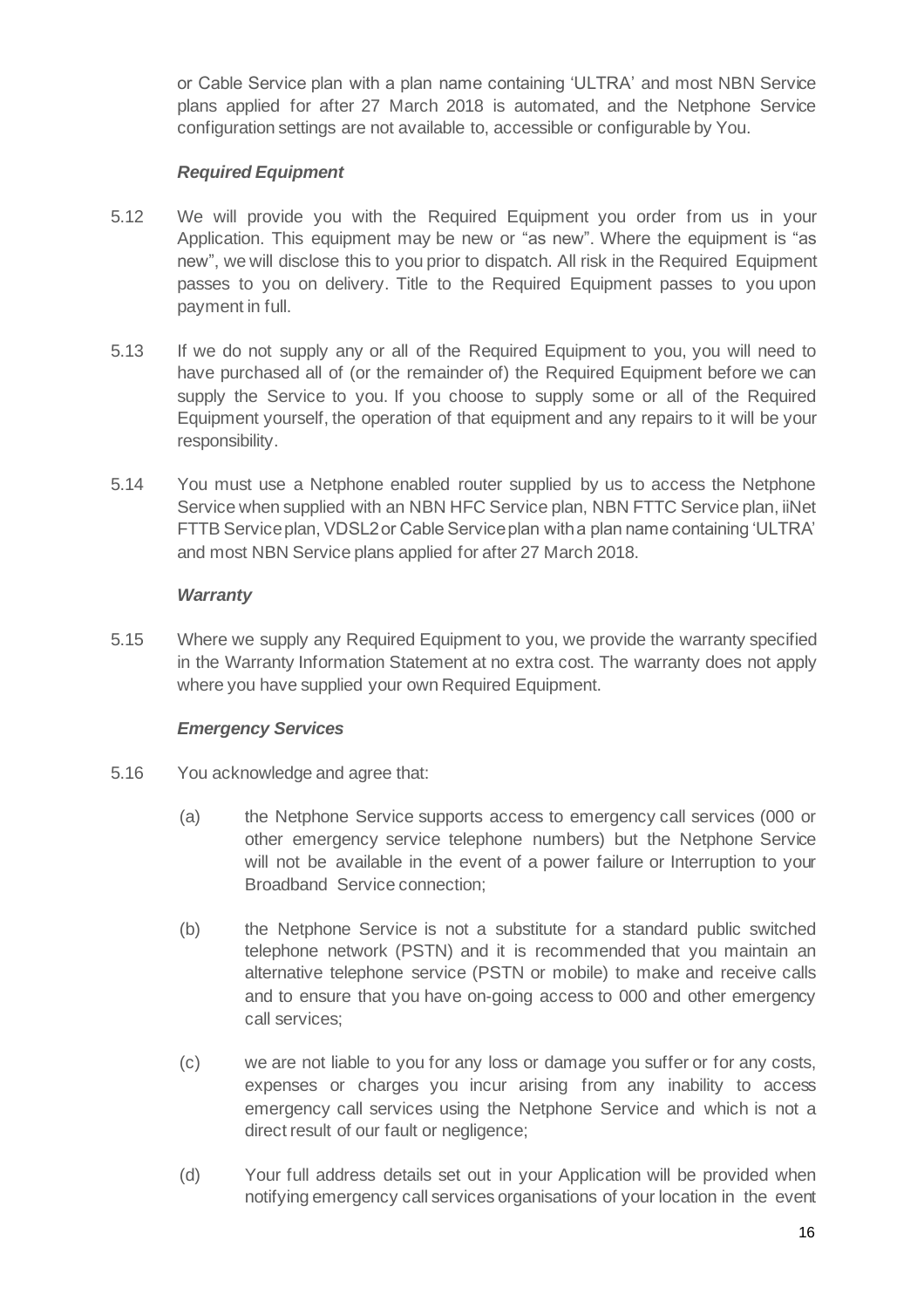or Cable Service plan with a plan name containing 'ULTRA' and most NBN Service plans applied for after 27 March 2018 is automated, and the Netphone Service configuration settings are not available to, accessible or configurable by You.

#### *Required Equipment*

- 5.12 We will provide you with the Required Equipment you order from us in your Application. This equipment may be new or "as new". Where the equipment is "as new", we will disclose this to you prior to dispatch. All risk in the Required Equipment passes to you on delivery. Title to the Required Equipment passes to you upon payment in full.
- 5.13 If we do not supply any or all of the Required Equipment to you, you will need to have purchased all of (or the remainder of) the Required Equipment before we can supply the Service to you. If you choose to supply some or all of the Required Equipment yourself, the operation of that equipment and any repairs to it will be your responsibility.
- 5.14 You must use a Netphone enabled router supplied by us to access the Netphone Service when supplied with an NBN HFC Service plan, NBN FTTC Service plan, iiNet FTTB Service plan, VDSL2 or Cable Service plan with a plan name containing 'ULTRA' and most NBN Service plans applied for after 27 March 2018.

#### *Warranty*

5.15 Where we supply any Required Equipment to you, we provide the warranty specified in the Warranty Information Statement at no extra cost. The warranty does not apply where you have supplied your own Required Equipment.

# *Emergency Services*

- 5.16 You acknowledge and agree that:
	- (a) the Netphone Service supports access to emergency call services (000 or other emergency service telephone numbers) but the Netphone Service will not be available in the event of a power failure or Interruption to your Broadband Service connection;
	- (b) the Netphone Service is not a substitute for a standard public switched telephone network (PSTN) and it is recommended that you maintain an alternative telephone service (PSTN or mobile) to make and receive calls and to ensure that you have on-going access to 000 and other emergency call services;
	- (c) we are not liable to you for any loss or damage you suffer or for any costs, expenses or charges you incur arising from any inability to access emergency call services using the Netphone Service and which is not a direct result of our fault or negligence;
	- (d) Your full address details set out in your Application will be provided when notifying emergency call services organisations of your location in the event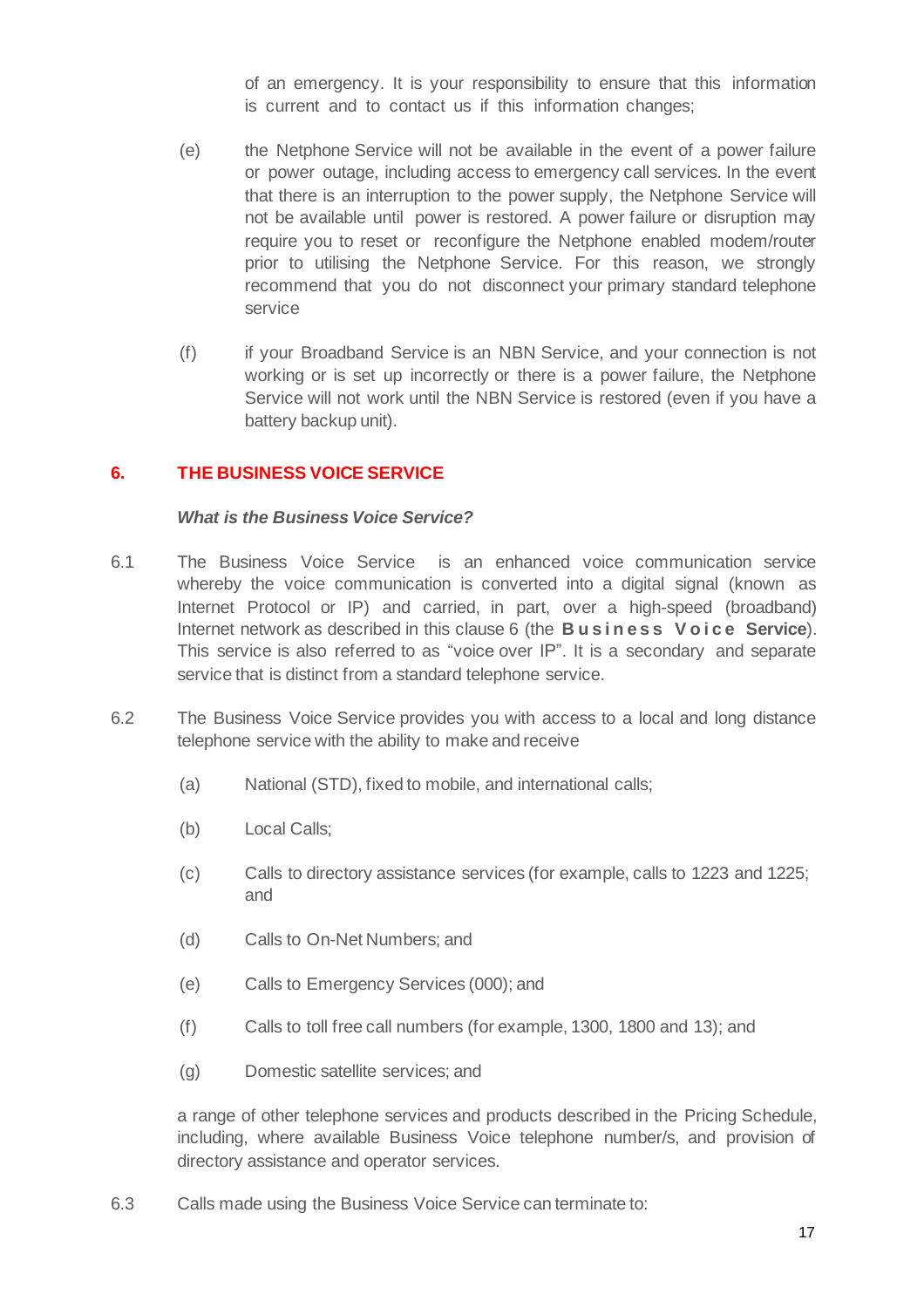of an emergency. It is your responsibility to ensure that this information is current and to contact us if this information changes;

- (e) the Netphone Service will not be available in the event of a power failure or power outage, including access to emergency call services. In the event that there is an interruption to the power supply, the Netphone Service will not be available until power is restored. A power failure or disruption may require you to reset or reconfigure the Netphone enabled modem/router prior to utilising the Netphone Service. For this reason, we strongly recommend that you do not disconnect your primary standard telephone service
- (f) if your Broadband Service is an NBN Service, and your connection is not working or is set up incorrectly or there is a power failure, the Netphone Service will not work until the NBN Service is restored (even if you have a battery backup unit).

# **6. THE BUSINESS VOICE SERVICE**

#### *What is the Business Voice Service?*

- 6.1 The Business Voice Service is an enhanced voice communication service whereby the voice communication is converted into a digital signal (known as Internet Protocol or IP) and carried, in part, over a high-speed (broadband) Internet network as described in this clause 6 (the **B u s i n e s s V o i c e Service**). This service is also referred to as "voice over IP". It is a secondary and separate service that is distinct from a standard telephone service.
- 6.2 The Business Voice Service provides you with access to a local and long distance telephone service with the ability to make and receive
	- (a) National (STD), fixed to mobile, and international calls;
	- (b) Local Calls;
	- (c) Calls to directory assistance services (for example, calls to 1223 and 1225; and
	- (d) Calls to On-Net Numbers; and
	- (e) Calls to Emergency Services (000); and
	- (f) Calls to toll free call numbers (for example, 1300, 1800 and 13); and
	- (g) Domestic satellite services; and

a range of other telephone services and products described in the Pricing Schedule, including, where available Business Voice telephone number/s, and provision of directory assistance and operator services.

6.3 Calls made using the Business Voice Service can terminate to: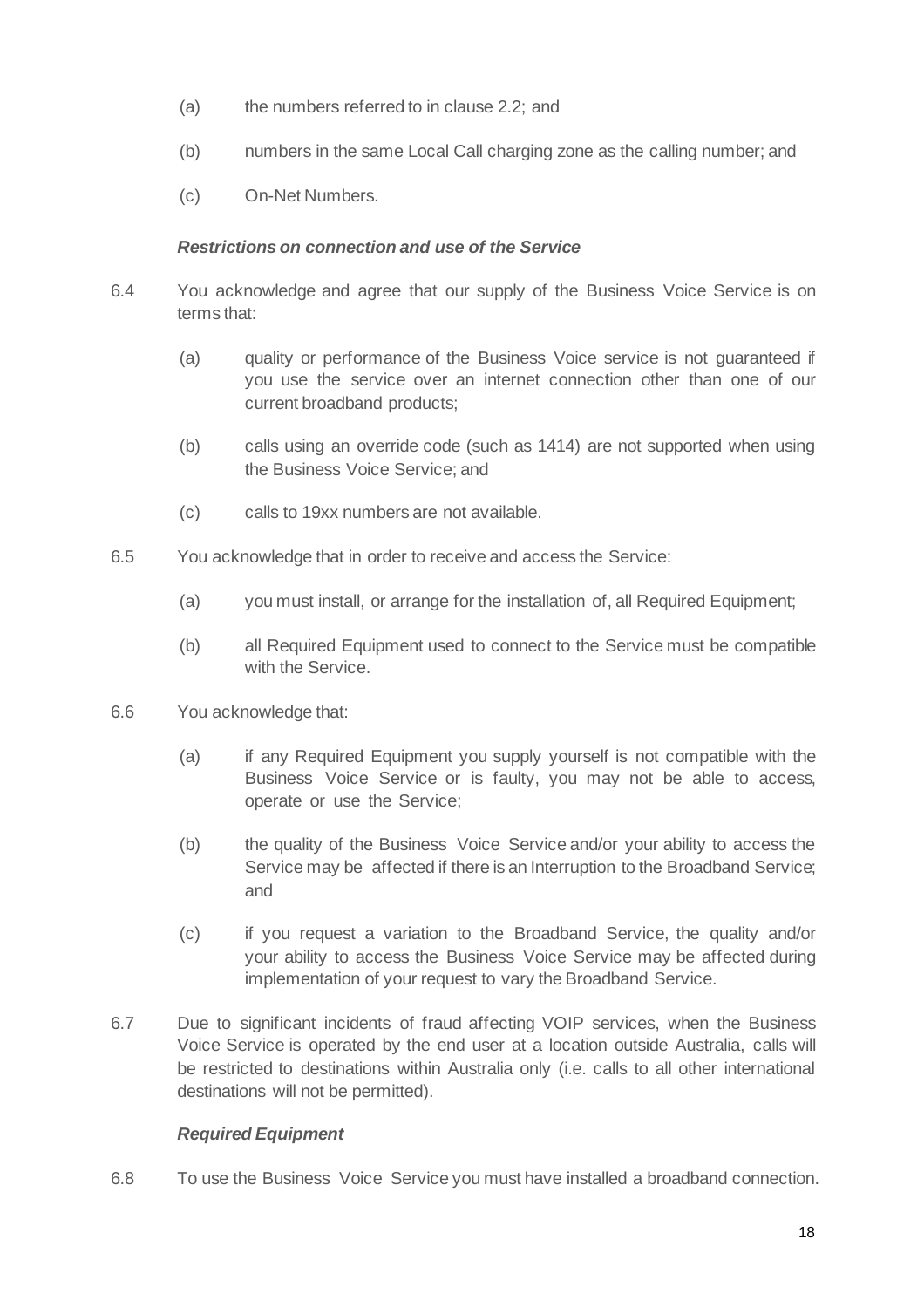- (a) the numbers referred to in clause 2.2; and
- (b) numbers in the same Local Call charging zone as the calling number; and
- (c) On-Net Numbers.

#### *Restrictions on connection and use of the Service*

- 6.4 You acknowledge and agree that our supply of the Business Voice Service is on terms that:
	- (a) quality or performance of the Business Voice service is not guaranteed if you use the service over an internet connection other than one of our current broadband products;
	- (b) calls using an override code (such as 1414) are not supported when using the Business Voice Service; and
	- (c) calls to 19xx numbers are not available.
- 6.5 You acknowledge that in order to receive and access the Service:
	- (a) you must install, or arrange for the installation of, all Required Equipment;
	- (b) all Required Equipment used to connect to the Service must be compatible with the Service.
- 6.6 You acknowledge that:
	- (a) if any Required Equipment you supply yourself is not compatible with the Business Voice Service or is faulty, you may not be able to access, operate or use the Service;
	- (b) the quality of the Business Voice Service and/or your ability to access the Service may be affected if there is an Interruption to the Broadband Service; and
	- (c) if you request a variation to the Broadband Service, the quality and/or your ability to access the Business Voice Service may be affected during implementation of your request to vary the Broadband Service.
- 6.7 Due to significant incidents of fraud affecting VOIP services, when the Business Voice Service is operated by the end user at a location outside Australia, calls will be restricted to destinations within Australia only (i.e. calls to all other international destinations will not be permitted).

# *Required Equipment*

6.8 To use the Business Voice Service you must have installed a broadband connection.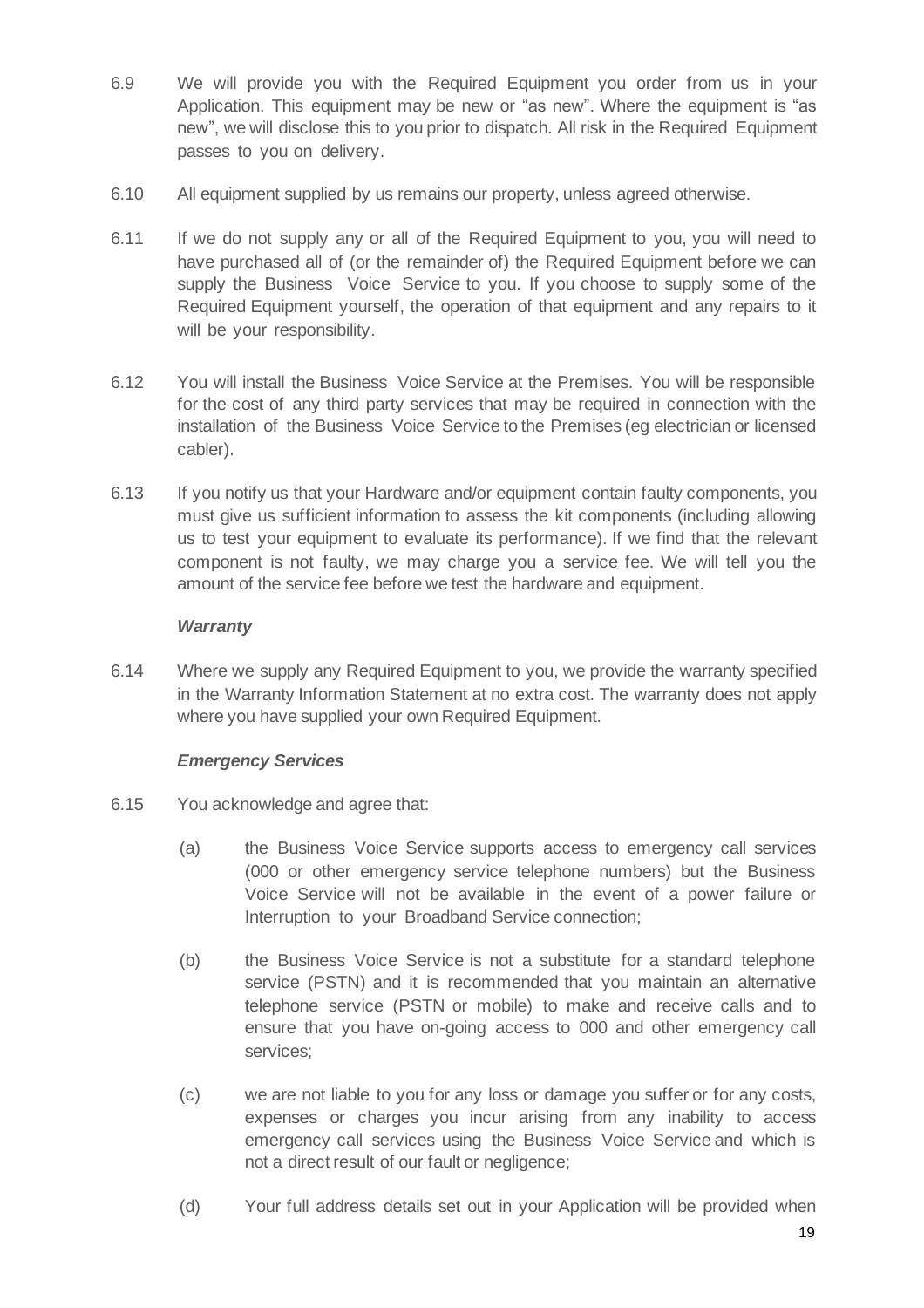- 6.9 We will provide you with the Required Equipment you order from us in your Application. This equipment may be new or "as new". Where the equipment is "as new", we will disclose this to you prior to dispatch. All risk in the Required Equipment passes to you on delivery.
- 6.10 All equipment supplied by us remains our property, unless agreed otherwise.
- 6.11 If we do not supply any or all of the Required Equipment to you, you will need to have purchased all of (or the remainder of) the Required Equipment before we can supply the Business Voice Service to you. If you choose to supply some of the Required Equipment yourself, the operation of that equipment and any repairs to it will be your responsibility.
- 6.12 You will install the Business Voice Service at the Premises. You will be responsible for the cost of any third party services that may be required in connection with the installation of the Business Voice Service to the Premises (eg electrician or licensed cabler).
- 6.13 If you notify us that your Hardware and/or equipment contain faulty components, you must give us sufficient information to assess the kit components (including allowing us to test your equipment to evaluate its performance). If we find that the relevant component is not faulty, we may charge you a service fee. We will tell you the amount of the service fee before we test the hardware and equipment.

#### *Warranty*

6.14 Where we supply any Required Equipment to you, we provide the warranty specified in the Warranty Information Statement at no extra cost. The warranty does not apply where you have supplied your own Required Equipment.

# *Emergency Services*

- 6.15 You acknowledge and agree that:
	- (a) the Business Voice Service supports access to emergency call services (000 or other emergency service telephone numbers) but the Business Voice Service will not be available in the event of a power failure or Interruption to your Broadband Service connection;
	- (b) the Business Voice Service is not a substitute for a standard telephone service (PSTN) and it is recommended that you maintain an alternative telephone service (PSTN or mobile) to make and receive calls and to ensure that you have on-going access to 000 and other emergency call services;
	- (c) we are not liable to you for any loss or damage you suffer or for any costs, expenses or charges you incur arising from any inability to access emergency call services using the Business Voice Service and which is not a direct result of our fault or negligence;
	- (d) Your full address details set out in your Application will be provided when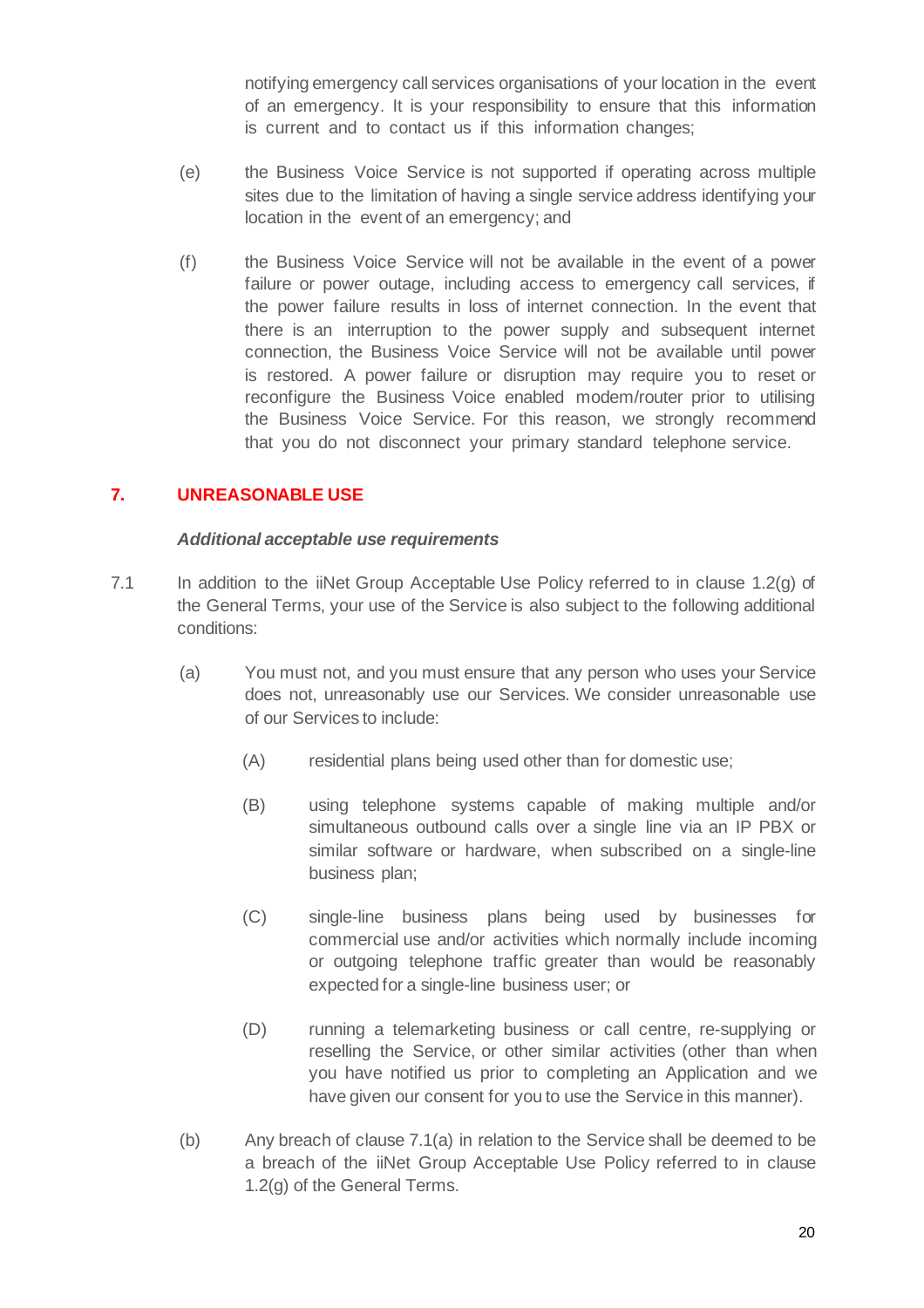notifying emergency call services organisations of your location in the event of an emergency. It is your responsibility to ensure that this information is current and to contact us if this information changes;

- (e) the Business Voice Service is not supported if operating across multiple sites due to the limitation of having a single service address identifying your location in the event of an emergency; and
- (f) the Business Voice Service will not be available in the event of a power failure or power outage, including access to emergency call services, if the power failure results in loss of internet connection. In the event that there is an interruption to the power supply and subsequent internet connection, the Business Voice Service will not be available until power is restored. A power failure or disruption may require you to reset or reconfigure the Business Voice enabled modem/router prior to utilising the Business Voice Service. For this reason, we strongly recommend that you do not disconnect your primary standard telephone service.

# **7. UNREASONABLE USE**

#### *Additional acceptable use requirements*

- 7.1 In addition to the iiNet Group Acceptable Use Policy referred to in clause 1.2(g) of the General Terms, your use of the Service is also subject to the following additional conditions:
	- (a) You must not, and you must ensure that any person who uses your Service does not, unreasonably use our Services. We consider unreasonable use of our Services to include:
		- (A) residential plans being used other than for domestic use;
		- (B) using telephone systems capable of making multiple and/or simultaneous outbound calls over a single line via an IP PBX or similar software or hardware, when subscribed on a single-line business plan;
		- (C) single-line business plans being used by businesses for commercial use and/or activities which normally include incoming or outgoing telephone traffic greater than would be reasonably expected for a single-line business user; or
		- (D) running a telemarketing business or call centre, re-supplying or reselling the Service, or other similar activities (other than when you have notified us prior to completing an Application and we have given our consent for you to use the Service in this manner).
	- (b) Any breach of clause 7.1(a) in relation to the Service shall be deemed to be a breach of the iiNet Group Acceptable Use Policy referred to in clause 1.2(g) of the General Terms.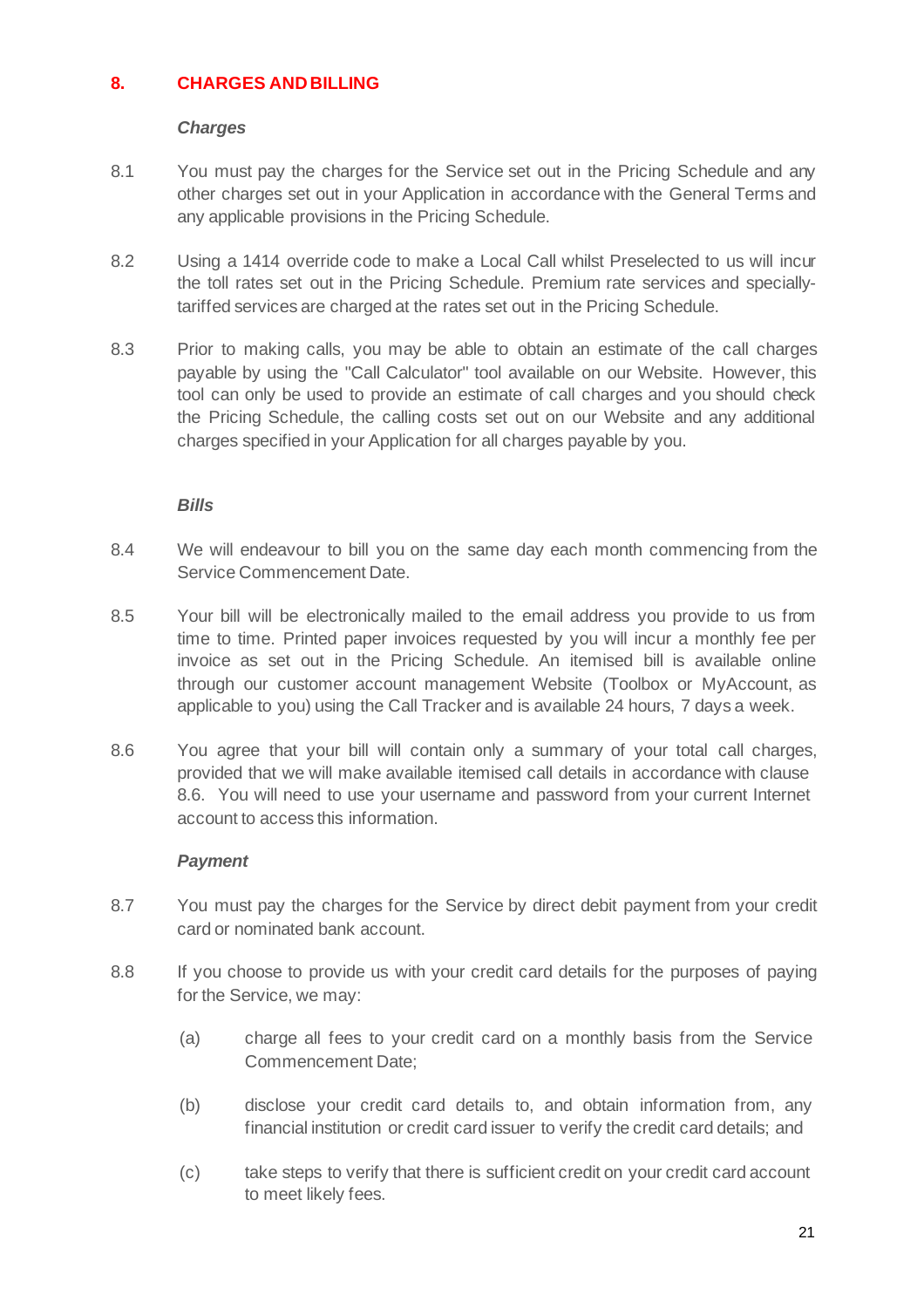# **8. CHARGES AND BILLING**

#### *Charges*

- 8.1 You must pay the charges for the Service set out in the Pricing Schedule and any other charges set out in your Application in accordance with the General Terms and any applicable provisions in the Pricing Schedule.
- 8.2 Using a 1414 override code to make a Local Call whilst Preselected to us will incur the toll rates set out in the Pricing Schedule. Premium rate services and speciallytariffed services are charged at the rates set out in the Pricing Schedule.
- 8.3 Prior to making calls, you may be able to obtain an estimate of the call charges payable by using the "Call Calculator" tool available on our Website. However, this tool can only be used to provide an estimate of call charges and you should check the Pricing Schedule, the calling costs set out on our Website and any additional charges specified in your Application for all charges payable by you.

#### *Bills*

- 8.4 We will endeavour to bill you on the same day each month commencing from the Service Commencement Date.
- 8.5 Your bill will be electronically mailed to the email address you provide to us from time to time. Printed paper invoices requested by you will incur a monthly fee per invoice as set out in the Pricing Schedule. An itemised bill is available online through our customer account management Website (Toolbox or MyAccount, as applicable to you) using the Call Tracker and is available 24 hours, 7 days a week.
- 8.6 You agree that your bill will contain only a summary of your total call charges, provided that we will make available itemised call details in accordance with clause 8.6. You will need to use your username and password from your current Internet account to access this information.

# *Payment*

- 8.7 You must pay the charges for the Service by direct debit payment from your credit card or nominated bank account.
- 8.8 If you choose to provide us with your credit card details for the purposes of paying for the Service, we may:
	- (a) charge all fees to your credit card on a monthly basis from the Service Commencement Date;
	- (b) disclose your credit card details to, and obtain information from, any financial institution or credit card issuer to verify the credit card details; and
	- (c) take steps to verify that there is sufficient credit on your credit card account to meet likely fees.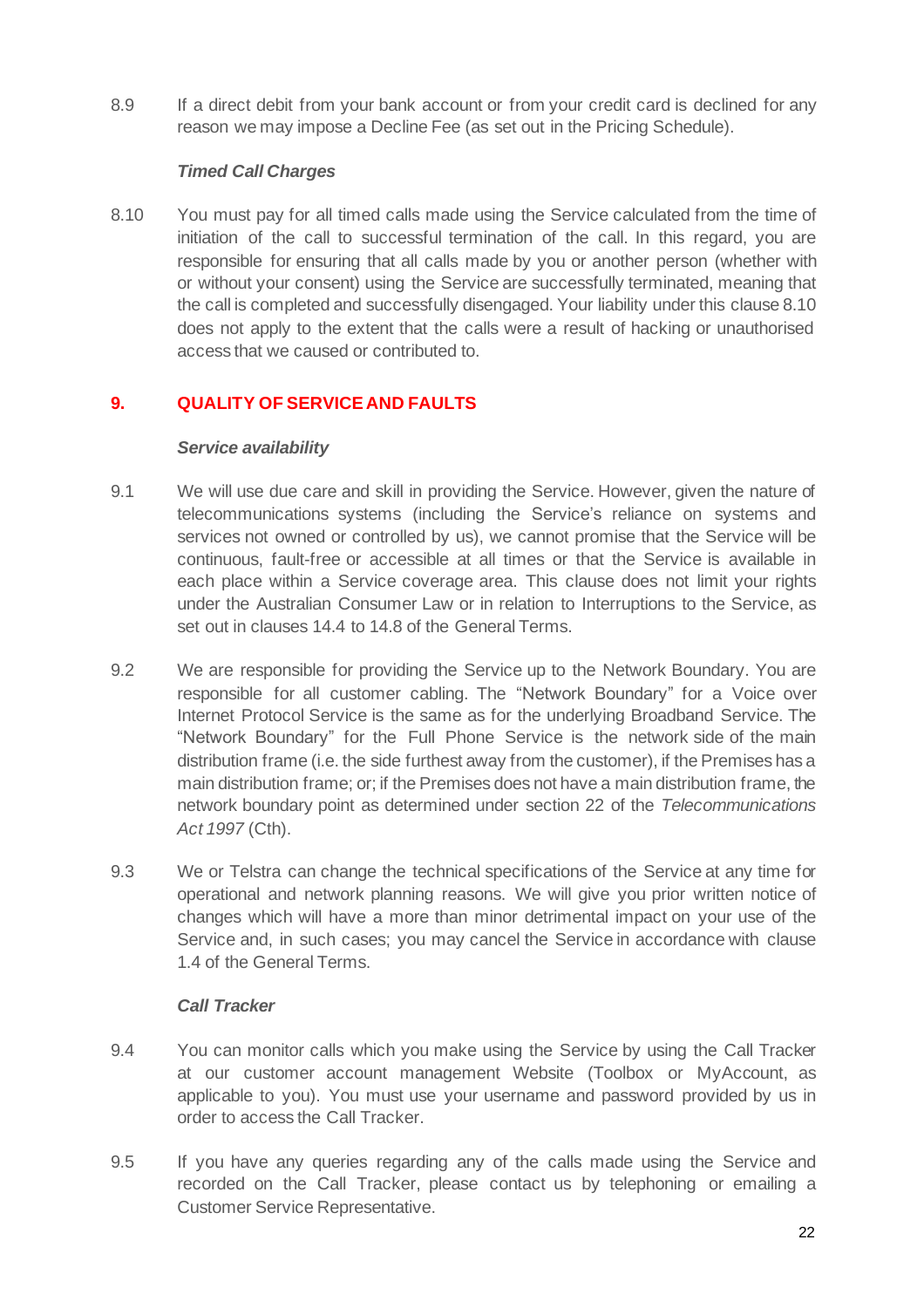8.9 If a direct debit from your bank account or from your credit card is declined for any reason we may impose a Decline Fee (as set out in the Pricing Schedule).

# *Timed Call Charges*

8.10 You must pay for all timed calls made using the Service calculated from the time of initiation of the call to successful termination of the call. In this regard, you are responsible for ensuring that all calls made by you or another person (whether with or without your consent) using the Service are successfully terminated, meaning that the call is completed and successfully disengaged. Your liability under this clause 8.10 does not apply to the extent that the calls were a result of hacking or unauthorised access that we caused or contributed to.

# **9. QUALITY OF SERVICEAND FAULTS**

#### *Service availability*

- 9.1 We will use due care and skill in providing the Service. However, given the nature of telecommunications systems (including the Service's reliance on systems and services not owned or controlled by us), we cannot promise that the Service will be continuous, fault-free or accessible at all times or that the Service is available in each place within a Service coverage area. This clause does not limit your rights under the Australian Consumer Law or in relation to Interruptions to the Service, as set out in clauses 14.4 to 14.8 of the General Terms.
- 9.2 We are responsible for providing the Service up to the Network Boundary. You are responsible for all customer cabling. The "Network Boundary" for a Voice over Internet Protocol Service is the same as for the underlying Broadband Service. The "Network Boundary" for the Full Phone Service is the network side of the main distribution frame (i.e. the side furthest away from the customer), if the Premises has a main distribution frame; or; if the Premises does not have a main distribution frame, the network boundary point as determined under section 22 of the *Telecommunications Act 1997* (Cth).
- 9.3 We or Telstra can change the technical specifications of the Service at any time for operational and network planning reasons. We will give you prior written notice of changes which will have a more than minor detrimental impact on your use of the Service and, in such cases; you may cancel the Service in accordance with clause 1.4 of the General Terms.

# *Call Tracker*

- 9.4 You can monitor calls which you make using the Service by using the Call Tracker at our customer account management Website (Toolbox or MyAccount, as applicable to you). You must use your username and password provided by us in order to access the Call Tracker.
- 9.5 If you have any queries regarding any of the calls made using the Service and recorded on the Call Tracker, please contact us by telephoning or emailing a Customer Service Representative.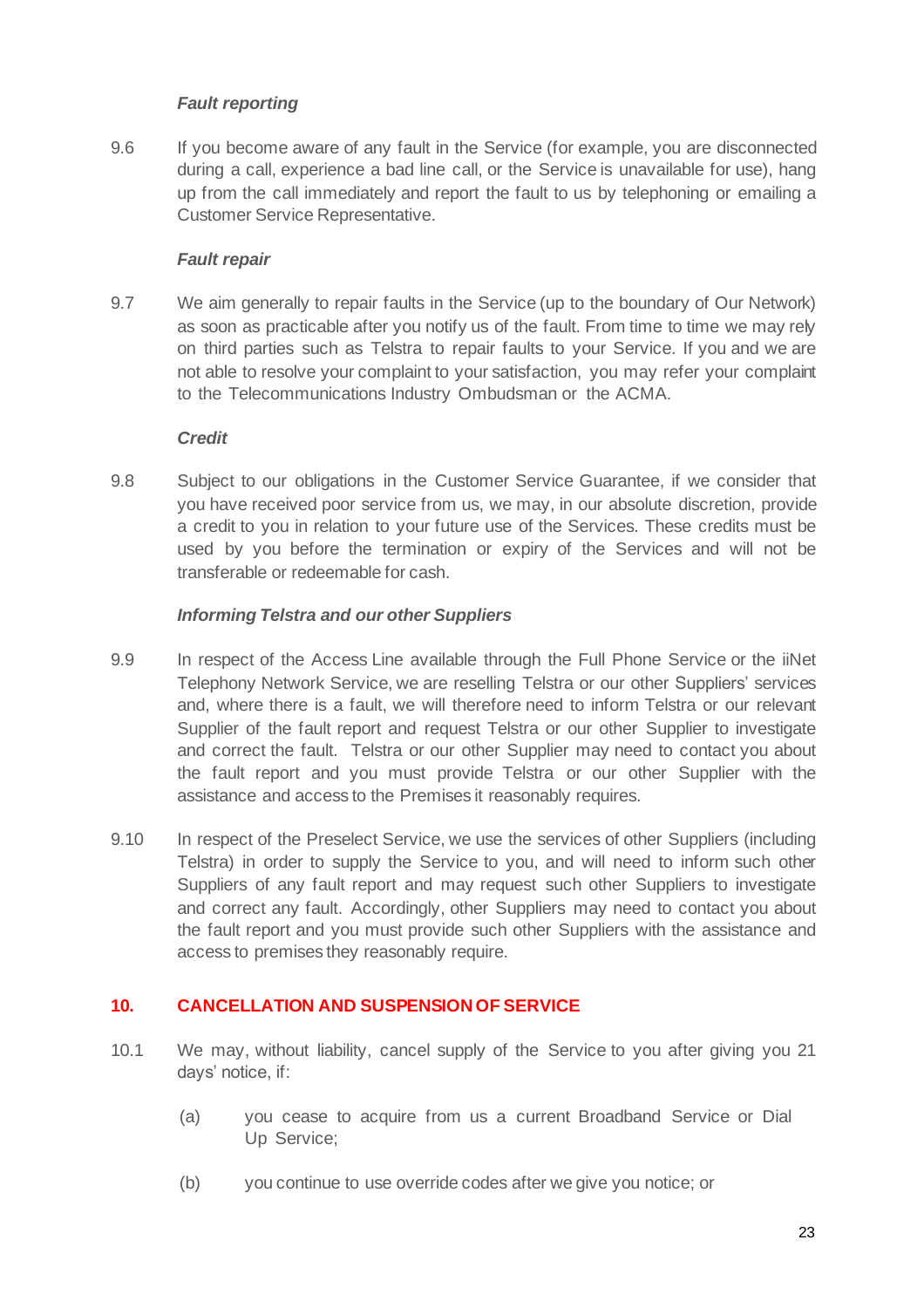# *Fault reporting*

9.6 If you become aware of any fault in the Service (for example, you are disconnected during a call, experience a bad line call, or the Service is unavailable for use), hang up from the call immediately and report the fault to us by telephoning or emailing a Customer Service Representative.

#### *Fault repair*

9.7 We aim generally to repair faults in the Service (up to the boundary of Our Network) as soon as practicable after you notify us of the fault. From time to time we may rely on third parties such as Telstra to repair faults to your Service. If you and we are not able to resolve your complaint to your satisfaction, you may refer your complaint to the Telecommunications Industry Ombudsman or the ACMA.

#### *Credit*

9.8 Subject to our obligations in the Customer Service Guarantee, if we consider that you have received poor service from us, we may, in our absolute discretion, provide a credit to you in relation to your future use of the Services. These credits must be used by you before the termination or expiry of the Services and will not be transferable or redeemable for cash.

#### *Informing Telstra and our other Suppliers*

- 9.9 In respect of the Access Line available through the Full Phone Service or the iiNet Telephony Network Service, we are reselling Telstra or our other Suppliers' services and, where there is a fault, we will therefore need to inform Telstra or our relevant Supplier of the fault report and request Telstra or our other Supplier to investigate and correct the fault. Telstra or our other Supplier may need to contact you about the fault report and you must provide Telstra or our other Supplier with the assistance and access to the Premises it reasonably requires.
- 9.10 In respect of the Preselect Service, we use the services of other Suppliers (including Telstra) in order to supply the Service to you, and will need to inform such other Suppliers of any fault report and may request such other Suppliers to investigate and correct any fault. Accordingly, other Suppliers may need to contact you about the fault report and you must provide such other Suppliers with the assistance and access to premises they reasonably require.

# **10. CANCELLATION AND SUSPENSIONOF SERVICE**

- 10.1 We may, without liability, cancel supply of the Service to you after giving you 21 days' notice, if:
	- (a) you cease to acquire from us a current Broadband Service or Dial Up Service;
	- (b) you continue to use override codes after we give you notice; or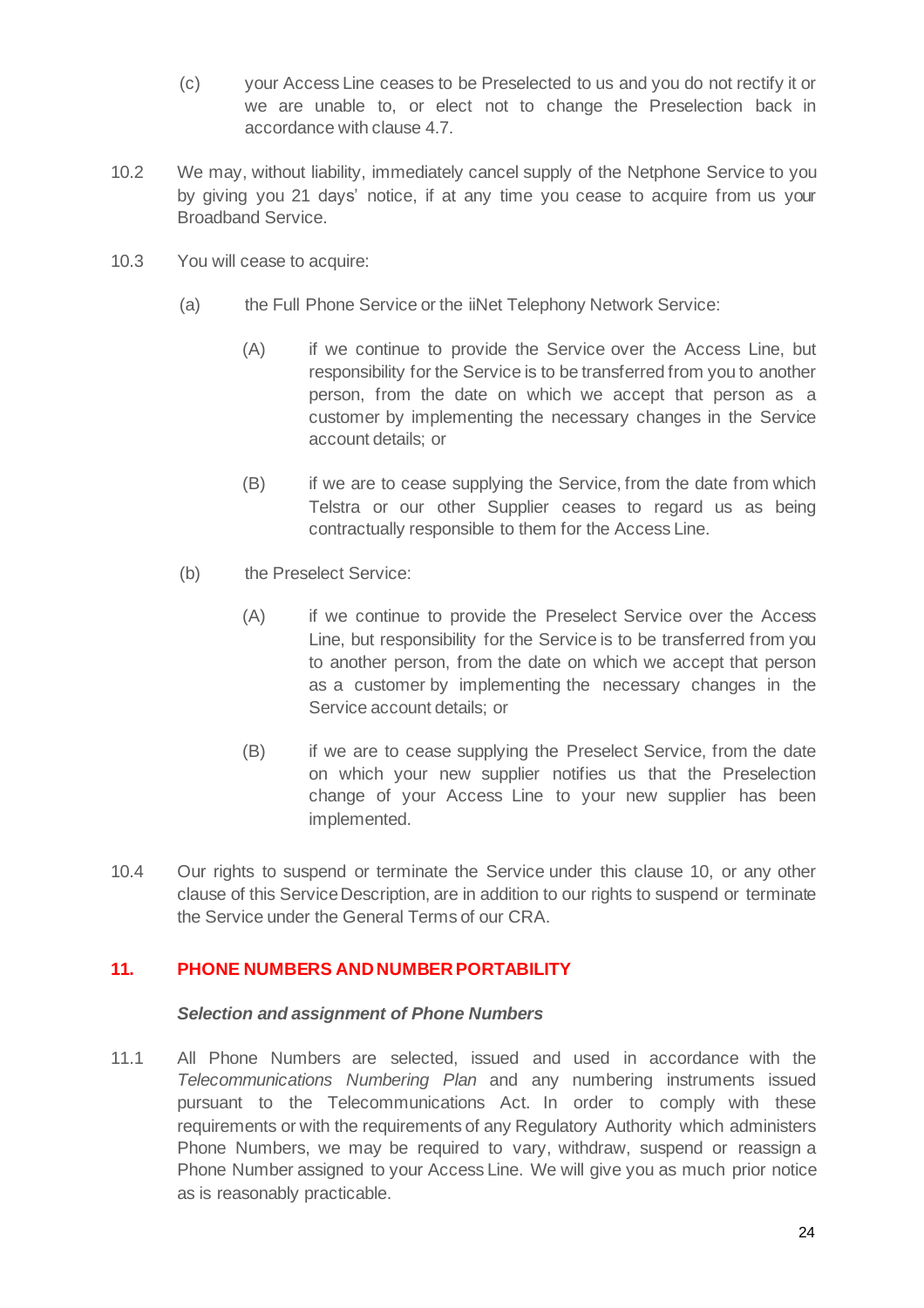- (c) your Access Line ceases to be Preselected to us and you do not rectify it or we are unable to, or elect not to change the Preselection back in accordance with clause 4.7.
- 10.2 We may, without liability, immediately cancel supply of the Netphone Service to you by giving you 21 days' notice, if at any time you cease to acquire from us your Broadband Service.
- 10.3 You will cease to acquire:
	- (a) the Full Phone Service or the iiNet Telephony Network Service:
		- (A) if we continue to provide the Service over the Access Line, but responsibility for the Service is to be transferred from you to another person, from the date on which we accept that person as a customer by implementing the necessary changes in the Service account details; or
		- (B) if we are to cease supplying the Service, from the date from which Telstra or our other Supplier ceases to regard us as being contractually responsible to them for the Access Line.
	- (b) the Preselect Service:
		- (A) if we continue to provide the Preselect Service over the Access Line, but responsibility for the Service is to be transferred from you to another person, from the date on which we accept that person as a customer by implementing the necessary changes in the Service account details; or
		- (B) if we are to cease supplying the Preselect Service, from the date on which your new supplier notifies us that the Preselection change of your Access Line to your new supplier has been implemented.
- 10.4 Our rights to suspend or terminate the Service under this clause 10, or any other clause of this ServiceDescription, are in addition to our rights to suspend or terminate the Service under the General Terms of our CRA.

# **11. PHONE NUMBERS AND NUMBER PORTABILITY**

#### *Selection and assignment of Phone Numbers*

11.1 All Phone Numbers are selected, issued and used in accordance with the *Telecommunications Numbering Plan* and any numbering instruments issued pursuant to the Telecommunications Act. In order to comply with these requirements or with the requirements of any Regulatory Authority which administers Phone Numbers, we may be required to vary, withdraw, suspend or reassign a Phone Number assigned to your Access Line. We will give you as much prior notice as is reasonably practicable.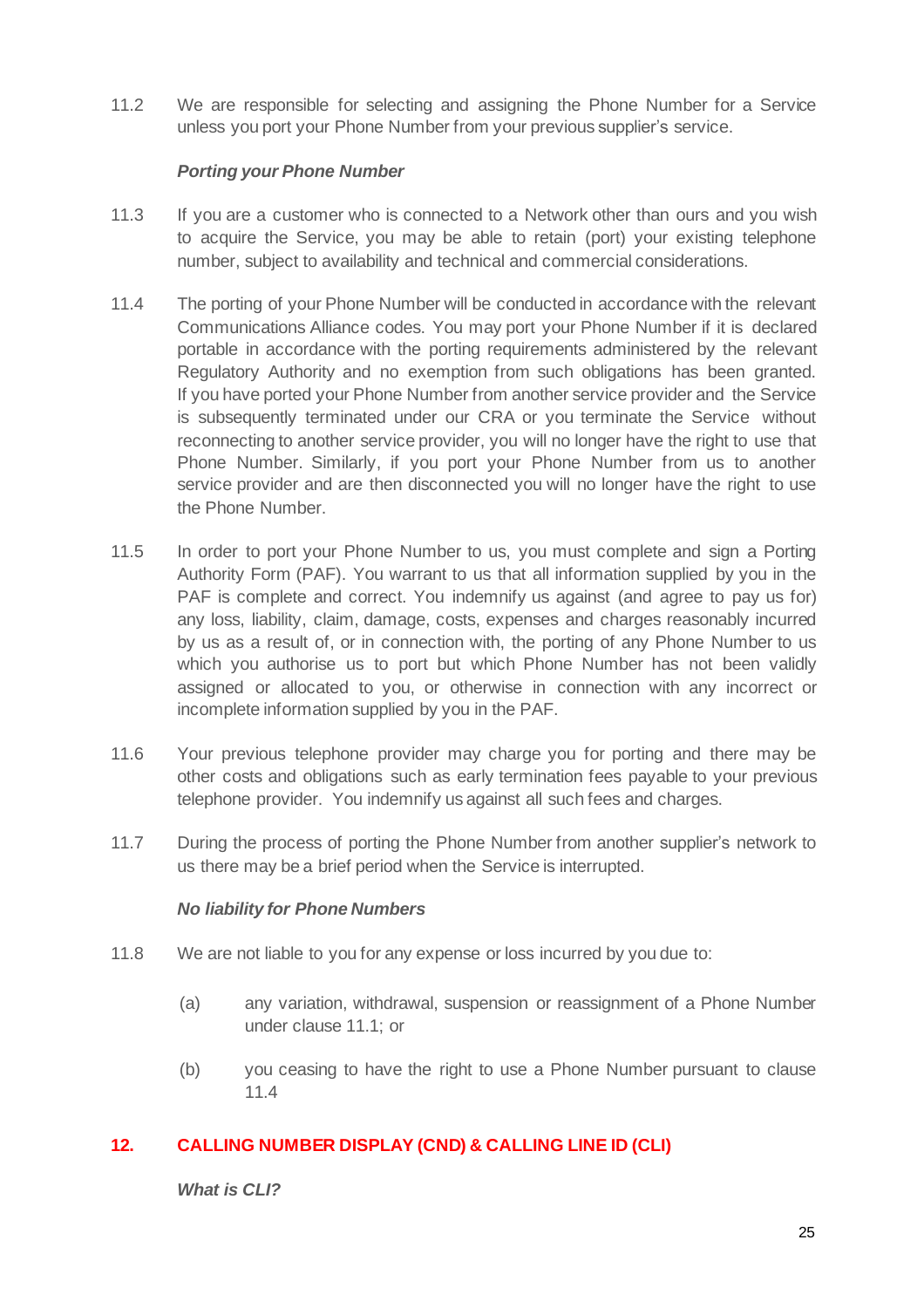11.2 We are responsible for selecting and assigning the Phone Number for a Service unless you port your Phone Number from your previous supplier's service.

#### *Porting your Phone Number*

- 11.3 If you are a customer who is connected to a Network other than ours and you wish to acquire the Service, you may be able to retain (port) your existing telephone number, subject to availability and technical and commercial considerations.
- 11.4 The porting of your Phone Number will be conducted in accordance with the relevant Communications Alliance codes. You may port your Phone Number if it is declared portable in accordance with the porting requirements administered by the relevant Regulatory Authority and no exemption from such obligations has been granted. If you have ported your Phone Number from another service provider and the Service is subsequently terminated under our CRA or you terminate the Service without reconnecting to another service provider, you will no longer have the right to use that Phone Number. Similarly, if you port your Phone Number from us to another service provider and are then disconnected you will no longer have the right to use the Phone Number.
- 11.5 In order to port your Phone Number to us, you must complete and sign a Porting Authority Form (PAF). You warrant to us that all information supplied by you in the PAF is complete and correct. You indemnify us against (and agree to pay us for) any loss, liability, claim, damage, costs, expenses and charges reasonably incurred by us as a result of, or in connection with, the porting of any Phone Number to us which you authorise us to port but which Phone Number has not been validly assigned or allocated to you, or otherwise in connection with any incorrect or incomplete information supplied by you in the PAF.
- 11.6 Your previous telephone provider may charge you for porting and there may be other costs and obligations such as early termination fees payable to your previous telephone provider. You indemnify us against all such fees and charges.
- 11.7 During the process of porting the Phone Number from another supplier's network to us there may be a brief period when the Service is interrupted.

#### *No liability for Phone Numbers*

- 11.8 We are not liable to you for any expense or loss incurred by you due to:
	- (a) any variation, withdrawal, suspension or reassignment of a Phone Number under clause 11.1; or
	- (b) you ceasing to have the right to use a Phone Number pursuant to clause 11.4

# **12. CALLING NUMBER DISPLAY (CND) & CALLING LINE ID (CLI)**

*What is CLI?*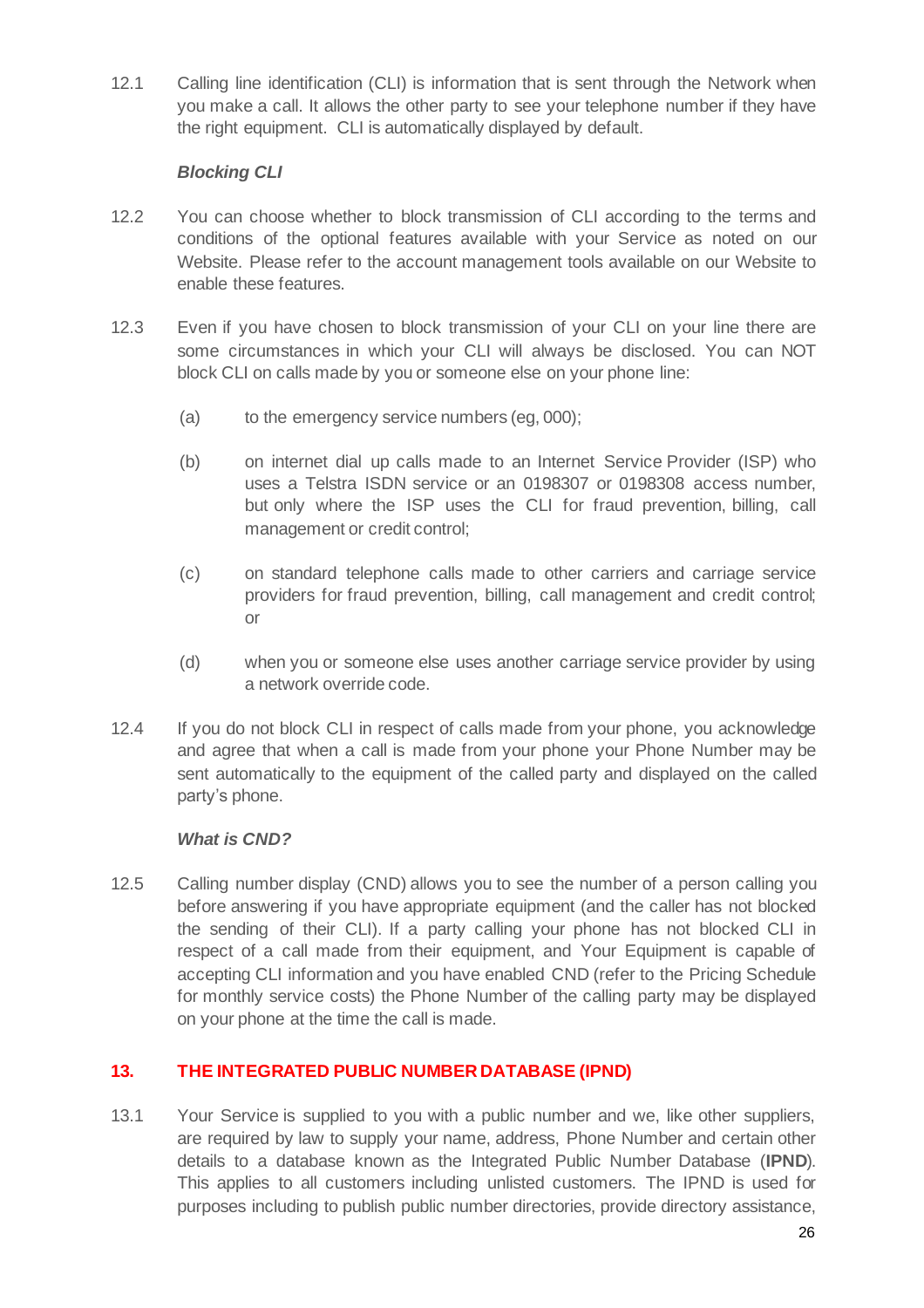12.1 Calling line identification (CLI) is information that is sent through the Network when you make a call. It allows the other party to see your telephone number if they have the right equipment. CLI is automatically displayed by default.

# *Blocking CLI*

- 12.2 You can choose whether to block transmission of CLI according to the terms and conditions of the optional features available with your Service as noted on our Website. Please refer to the account management tools available on our Website to enable these features.
- 12.3 Even if you have chosen to block transmission of your CLI on your line there are some circumstances in which your CLI will always be disclosed. You can NOT block CLI on calls made by you or someone else on your phone line:
	- (a) to the emergency service numbers (eg,  $000$ );
	- (b) on internet dial up calls made to an Internet Service Provider (ISP) who uses a Telstra ISDN service or an 0198307 or 0198308 access number, but only where the ISP uses the CLI for fraud prevention, billing, call management or credit control;
	- (c) on standard telephone calls made to other carriers and carriage service providers for fraud prevention, billing, call management and credit control; or
	- (d) when you or someone else uses another carriage service provider by using a network override code.
- 12.4 If you do not block CLI in respect of calls made from your phone, you acknowledge and agree that when a call is made from your phone your Phone Number may be sent automatically to the equipment of the called party and displayed on the called party's phone.

#### *What is CND?*

12.5 Calling number display (CND) allows you to see the number of a person calling you before answering if you have appropriate equipment (and the caller has not blocked the sending of their CLI). If a party calling your phone has not blocked CLI in respect of a call made from their equipment, and Your Equipment is capable of accepting CLI information and you have enabled CND (refer to the Pricing Schedule for monthly service costs) the Phone Number of the calling party may be displayed on your phone at the time the call is made.

# **13. THE INTEGRATED PUBLIC NUMBER DATABASE (IPND)**

13.1 Your Service is supplied to you with a public number and we, like other suppliers, are required by law to supply your name, address, Phone Number and certain other details to a database known as the Integrated Public Number Database (**IPND**). This applies to all customers including unlisted customers. The IPND is used for purposes including to publish public number directories, provide directory assistance,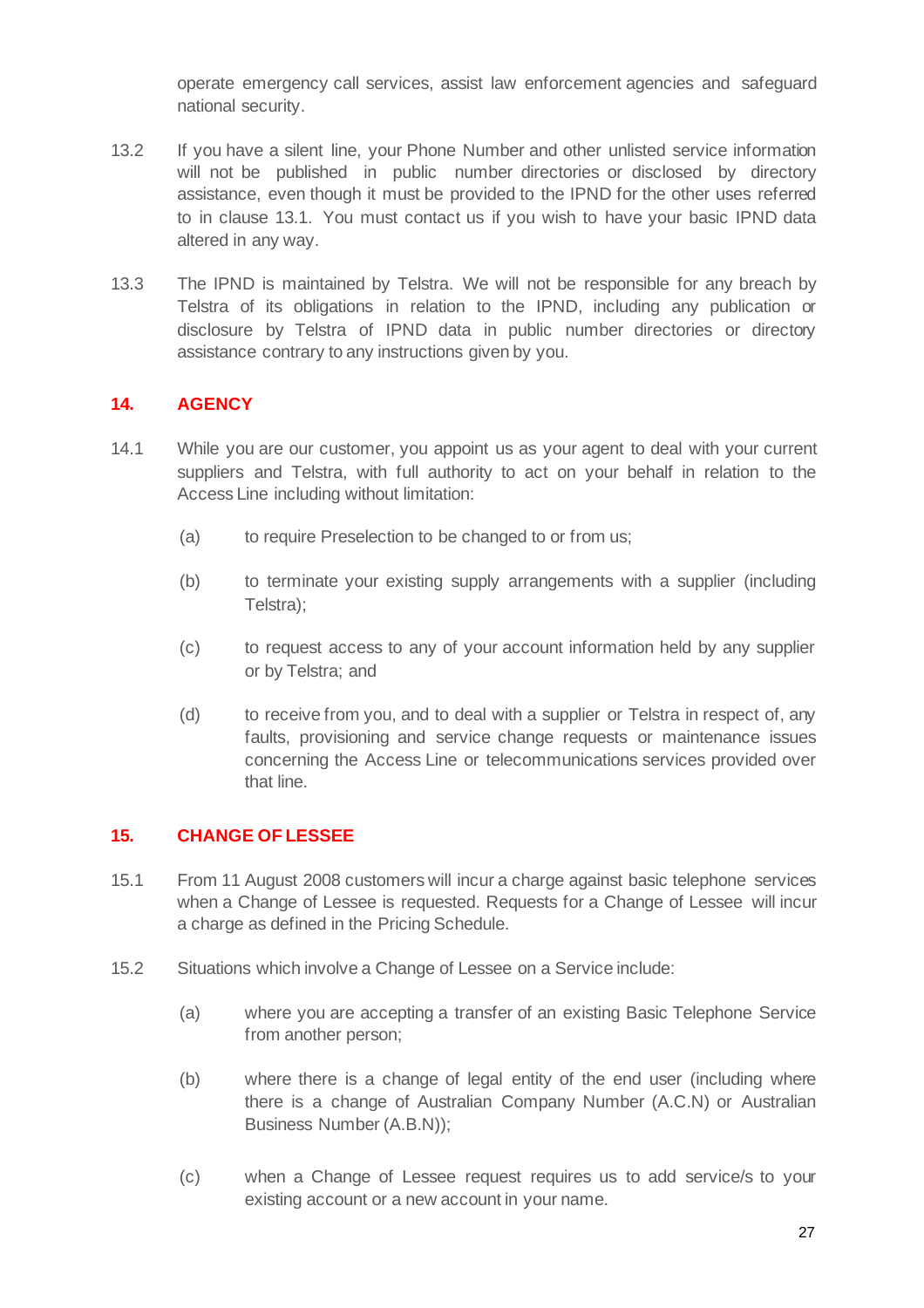operate emergency call services, assist law enforcement agencies and safeguard national security.

- 13.2 If you have a silent line, your Phone Number and other unlisted service information will not be published in public number directories or disclosed by directory assistance, even though it must be provided to the IPND for the other uses referred to in clause 13.1. You must contact us if you wish to have your basic IPND data altered in any way.
- 13.3 The IPND is maintained by Telstra. We will not be responsible for any breach by Telstra of its obligations in relation to the IPND, including any publication or disclosure by Telstra of IPND data in public number directories or directory assistance contrary to any instructions given by you.

# **14. AGENCY**

- 14.1 While you are our customer, you appoint us as your agent to deal with your current suppliers and Telstra, with full authority to act on your behalf in relation to the Access Line including without limitation:
	- (a) to require Preselection to be changed to or from us;
	- (b) to terminate your existing supply arrangements with a supplier (including Telstra);
	- (c) to request access to any of your account information held by any supplier or by Telstra; and
	- (d) to receive from you, and to deal with a supplier or Telstra in respect of, any faults, provisioning and service change requests or maintenance issues concerning the Access Line or telecommunications services provided over that line.

# **15. CHANGE OF LESSEE**

- 15.1 From 11 August 2008 customers will incur a charge against basic telephone services when a Change of Lessee is requested. Requests for a Change of Lessee will incur a charge as defined in the Pricing Schedule.
- 15.2 Situations which involve a Change of Lessee on a Service include:
	- (a) where you are accepting a transfer of an existing Basic Telephone Service from another person;
	- (b) where there is a change of legal entity of the end user (including where there is a change of Australian Company Number (A.C.N) or Australian Business Number (A.B.N));
	- (c) when a Change of Lessee request requires us to add service/s to your existing account or a new account in your name.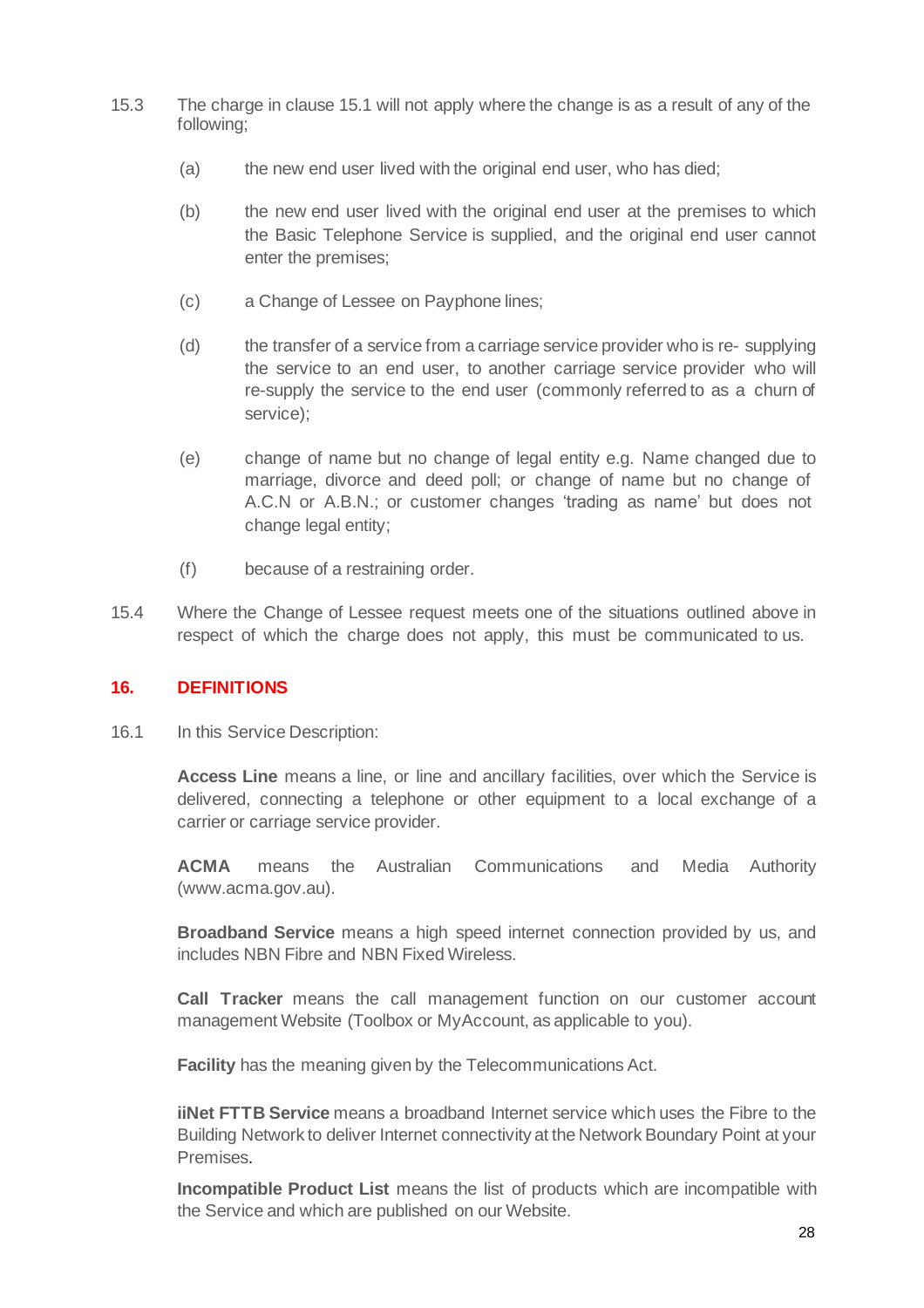- 15.3 The charge in clause 15.1 will not apply where the change is as a result of any of the following;
	- (a) the new end user lived with the original end user, who has died;
	- (b) the new end user lived with the original end user at the premises to which the Basic Telephone Service is supplied, and the original end user cannot enter the premises;
	- (c) a Change of Lessee on Payphone lines;
	- (d) the transfer of a service from a carriage service provider who is re- supplying the service to an end user, to another carriage service provider who will re-supply the service to the end user (commonly referred to as a churn of service);
	- (e) change of name but no change of legal entity e.g. Name changed due to marriage, divorce and deed poll; or change of name but no change of A.C.N or A.B.N.; or customer changes 'trading as name' but does not change legal entity;
	- (f) because of a restraining order.
- 15.4 Where the Change of Lessee request meets one of the situations outlined above in respect of which the charge does not apply, this must be communicated to us.

# **16. DEFINITIONS**

16.1 In this Service Description:

**Access Line** means a line, or line and ancillary facilities, over which the Service is delivered, connecting a telephone or other equipment to a local exchange of a carrier or carriage service provider.

**ACMA** means the Australian Communications and Media Authority (www.acma.gov.au).

**Broadband Service** means a high speed internet connection provided by us, and includes NBN Fibre and NBN Fixed Wireless.

**Call Tracker** means the call management function on our customer account management Website (Toolbox or MyAccount, as applicable to you).

**Facility** has the meaning given by the Telecommunications Act.

**iiNet FTTB Service** means a broadband Internet service which uses the Fibre to the Building Network to deliver Internet connectivity at the Network Boundary Point at your Premises.

**Incompatible Product List** means the list of products which are incompatible with the Service and which are published on our Website.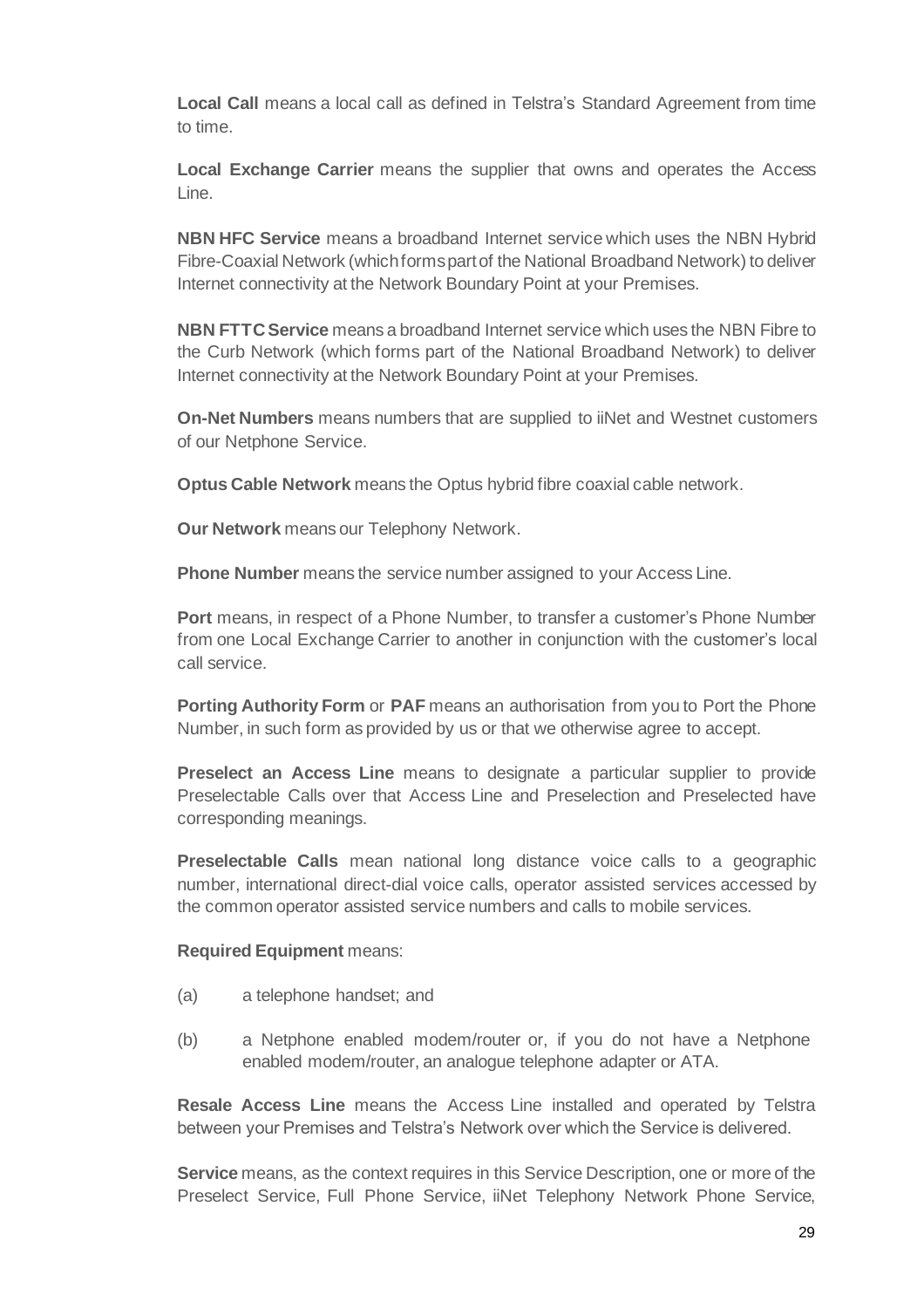**Local Call** means a local call as defined in Telstra's Standard Agreement from time to time.

**Local Exchange Carrier** means the supplier that owns and operates the Access Line.

**NBN HFC Service** means a broadband Internet service which uses the NBN Hybrid Fibre-Coaxial Network (which forms part of the National Broadband Network) to deliver Internet connectivity at the Network Boundary Point at your Premises.

**NBN FTTC Service** means a broadband Internet service which uses the NBN Fibre to the Curb Network (which forms part of the National Broadband Network) to deliver Internet connectivity at the Network Boundary Point at your Premises.

**On-Net Numbers** means numbers that are supplied to iiNet and Westnet customers of our Netphone Service.

**Optus Cable Network** means the Optus hybrid fibre coaxial cable network.

**Our Network** means our Telephony Network.

**Phone Number** means the service number assigned to your Access Line.

**Port** means, in respect of a Phone Number, to transfer a customer's Phone Number from one Local Exchange Carrier to another in conjunction with the customer's local call service.

**Porting Authority Form** or **PAF** means an authorisation from you to Port the Phone Number, in such form as provided by us or that we otherwise agree to accept.

**Preselect an Access Line** means to designate a particular supplier to provide Preselectable Calls over that Access Line and Preselection and Preselected have corresponding meanings.

**Preselectable Calls** mean national long distance voice calls to a geographic number, international direct-dial voice calls, operator assisted services accessed by the common operator assisted service numbers and calls to mobile services.

#### **Required Equipment** means:

- (a) a telephone handset; and
- (b) a Netphone enabled modem/router or, if you do not have a Netphone enabled modem/router, an analogue telephone adapter or ATA.

**Resale Access Line** means the Access Line installed and operated by Telstra between your Premises and Telstra's Network over which the Service is delivered.

**Service** means, as the context requires in this Service Description, one or more of the Preselect Service, Full Phone Service, iiNet Telephony Network Phone Service,